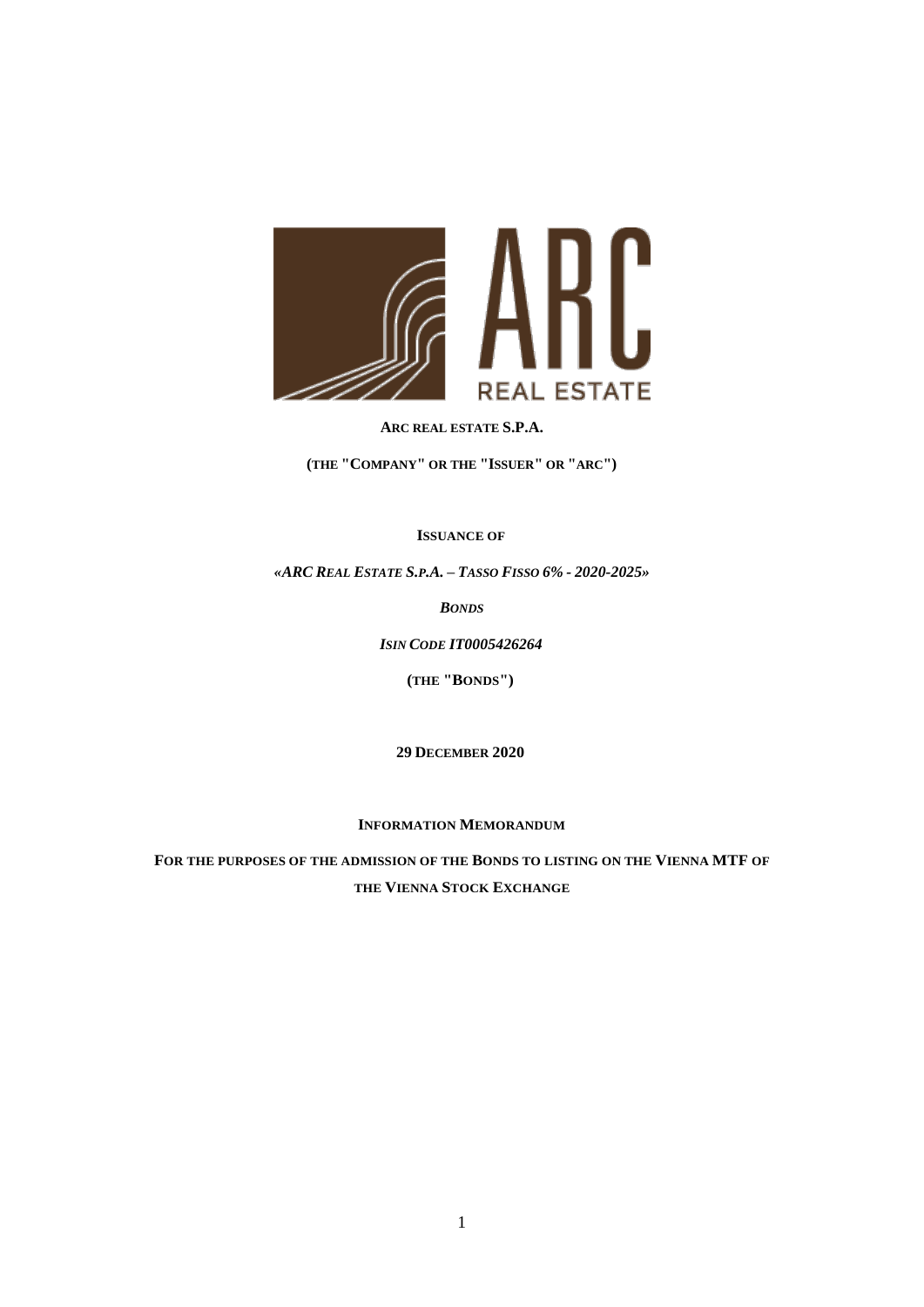

### **ARC REAL ESTATE S.P.A.**

**(THE "COMPANY" OR THE "ISSUER" OR "ARC")**

## **ISSUANCE OF**

*«ARC REAL ESTATE S.P.A. – TASSO FISSO 6% - 2020-2025»*

*BONDS*

*ISIN CODE IT0005426264*

**(THE "BONDS")**

**29 DECEMBER 2020**

**INFORMATION MEMORANDUM**

**FOR THE PURPOSES OF THE ADMISSION OF THE BONDS TO LISTING ON THE VIENNA MTF OF THE VIENNA STOCK EXCHANGE**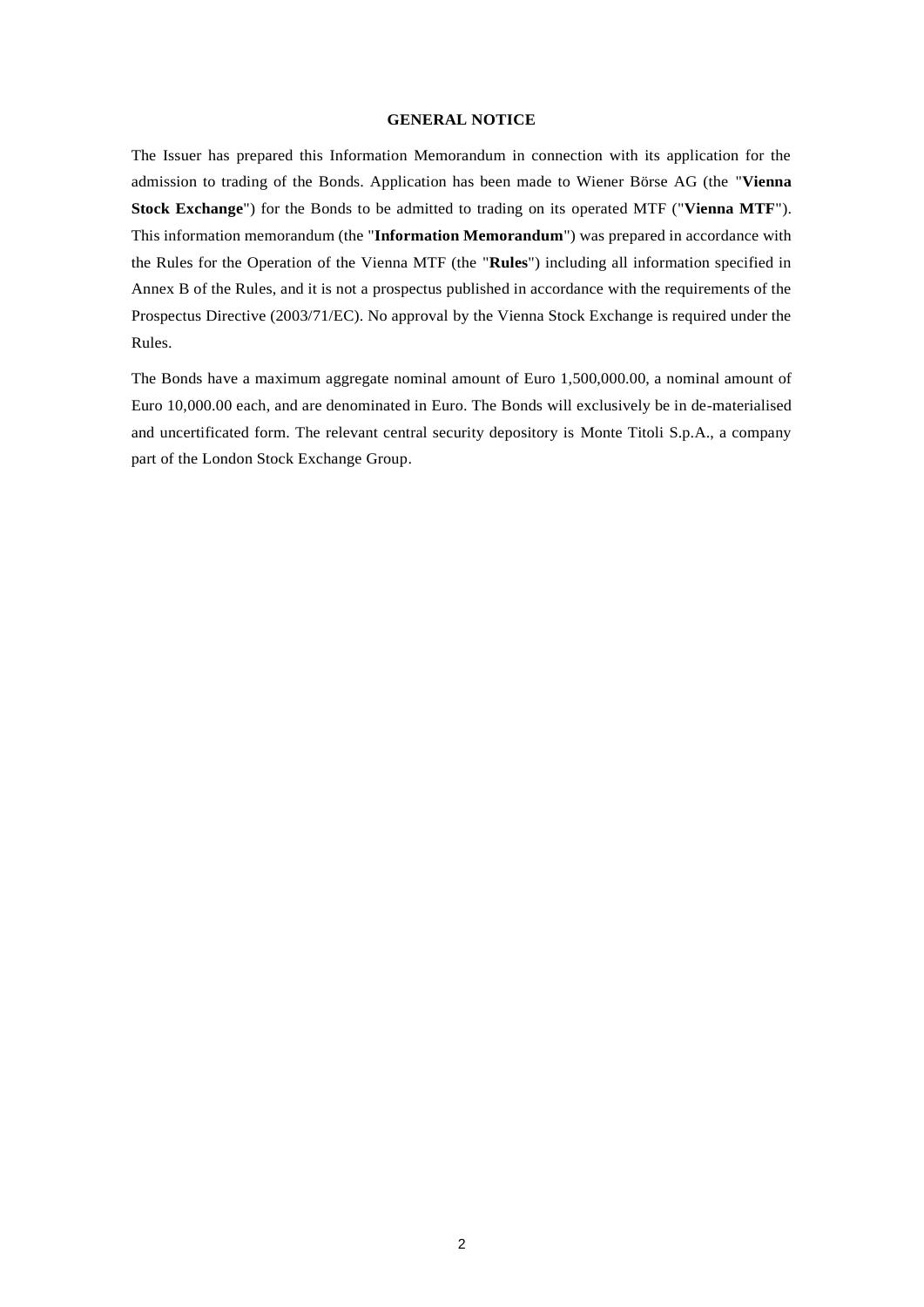### **GENERAL NOTICE**

The Issuer has prepared this Information Memorandum in connection with its application for the admission to trading of the Bonds. Application has been made to Wiener Börse AG (the "**Vienna Stock Exchange**") for the Bonds to be admitted to trading on its operated MTF ("**Vienna MTF**"). This information memorandum (the "**Information Memorandum**") was prepared in accordance with the Rules for the Operation of the Vienna MTF (the "**Rules**") including all information specified in Annex B of the Rules, and it is not a prospectus published in accordance with the requirements of the Prospectus Directive (2003/71/EC). No approval by the Vienna Stock Exchange is required under the Rules.

The Bonds have a maximum aggregate nominal amount of Euro 1,500,000.00, a nominal amount of Euro 10,000.00 each, and are denominated in Euro. The Bonds will exclusively be in de-materialised and uncertificated form. The relevant central security depository is Monte Titoli S.p.A., a company part of the London Stock Exchange Group.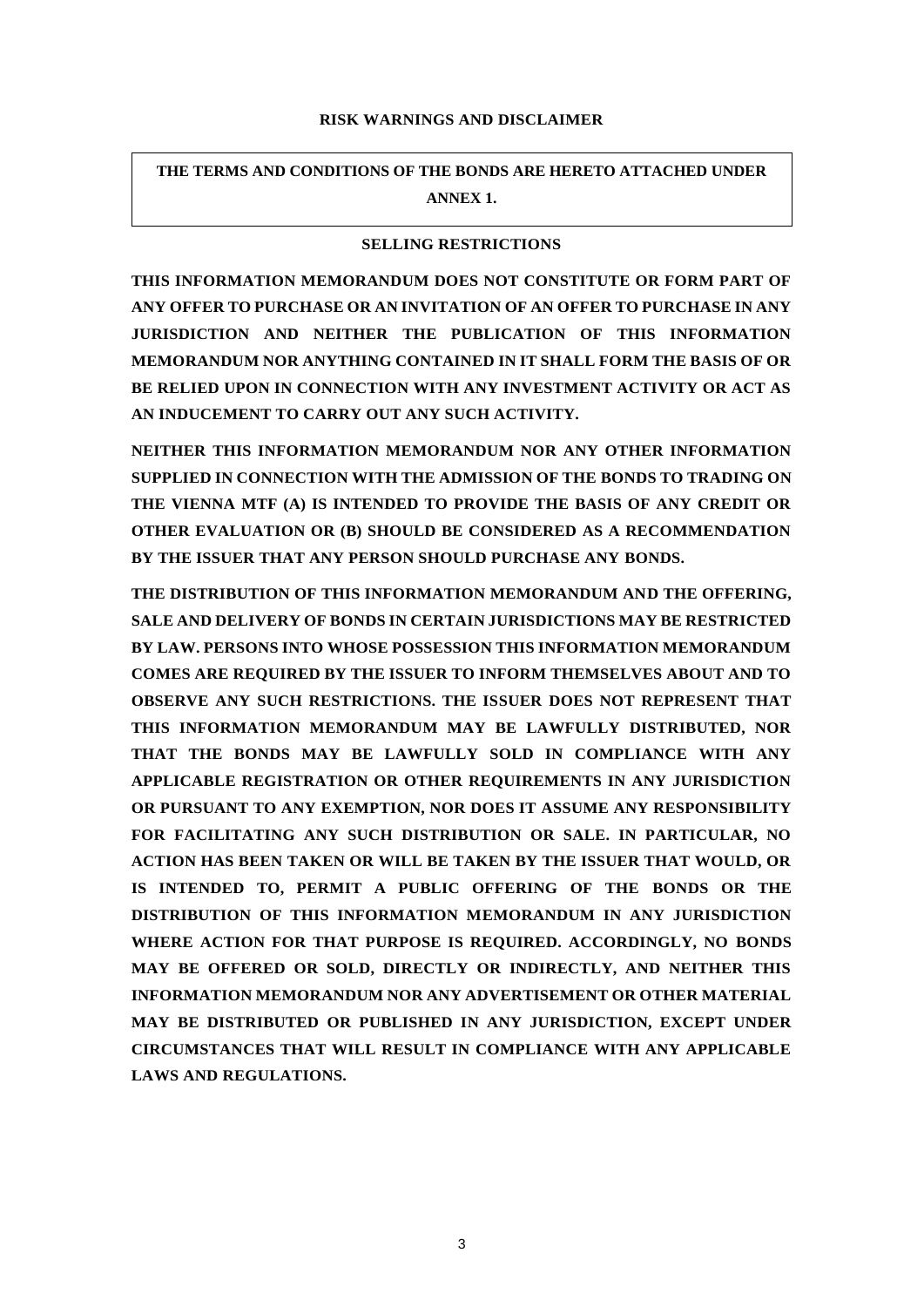### **RISK WARNINGS AND DISCLAIMER**

**THE TERMS AND CONDITIONS OF THE BONDS ARE HERETO ATTACHED UNDER ANNEX 1.**

### **SELLING RESTRICTIONS**

**THIS INFORMATION MEMORANDUM DOES NOT CONSTITUTE OR FORM PART OF ANY OFFER TO PURCHASE OR AN INVITATION OF AN OFFER TO PURCHASE IN ANY JURISDICTION AND NEITHER THE PUBLICATION OF THIS INFORMATION MEMORANDUM NOR ANYTHING CONTAINED IN IT SHALL FORM THE BASIS OF OR BE RELIED UPON IN CONNECTION WITH ANY INVESTMENT ACTIVITY OR ACT AS AN INDUCEMENT TO CARRY OUT ANY SUCH ACTIVITY.**

**NEITHER THIS INFORMATION MEMORANDUM NOR ANY OTHER INFORMATION SUPPLIED IN CONNECTION WITH THE ADMISSION OF THE BONDS TO TRADING ON THE VIENNA MTF (A) IS INTENDED TO PROVIDE THE BASIS OF ANY CREDIT OR OTHER EVALUATION OR (B) SHOULD BE CONSIDERED AS A RECOMMENDATION BY THE ISSUER THAT ANY PERSON SHOULD PURCHASE ANY BONDS.** 

**THE DISTRIBUTION OF THIS INFORMATION MEMORANDUM AND THE OFFERING, SALE AND DELIVERY OF BONDS IN CERTAIN JURISDICTIONS MAY BE RESTRICTED BY LAW. PERSONS INTO WHOSE POSSESSION THIS INFORMATION MEMORANDUM COMES ARE REQUIRED BY THE ISSUER TO INFORM THEMSELVES ABOUT AND TO OBSERVE ANY SUCH RESTRICTIONS. THE ISSUER DOES NOT REPRESENT THAT THIS INFORMATION MEMORANDUM MAY BE LAWFULLY DISTRIBUTED, NOR THAT THE BONDS MAY BE LAWFULLY SOLD IN COMPLIANCE WITH ANY APPLICABLE REGISTRATION OR OTHER REQUIREMENTS IN ANY JURISDICTION OR PURSUANT TO ANY EXEMPTION, NOR DOES IT ASSUME ANY RESPONSIBILITY FOR FACILITATING ANY SUCH DISTRIBUTION OR SALE. IN PARTICULAR, NO ACTION HAS BEEN TAKEN OR WILL BE TAKEN BY THE ISSUER THAT WOULD, OR IS INTENDED TO, PERMIT A PUBLIC OFFERING OF THE BONDS OR THE DISTRIBUTION OF THIS INFORMATION MEMORANDUM IN ANY JURISDICTION WHERE ACTION FOR THAT PURPOSE IS REQUIRED. ACCORDINGLY, NO BONDS MAY BE OFFERED OR SOLD, DIRECTLY OR INDIRECTLY, AND NEITHER THIS INFORMATION MEMORANDUM NOR ANY ADVERTISEMENT OR OTHER MATERIAL MAY BE DISTRIBUTED OR PUBLISHED IN ANY JURISDICTION, EXCEPT UNDER CIRCUMSTANCES THAT WILL RESULT IN COMPLIANCE WITH ANY APPLICABLE LAWS AND REGULATIONS.**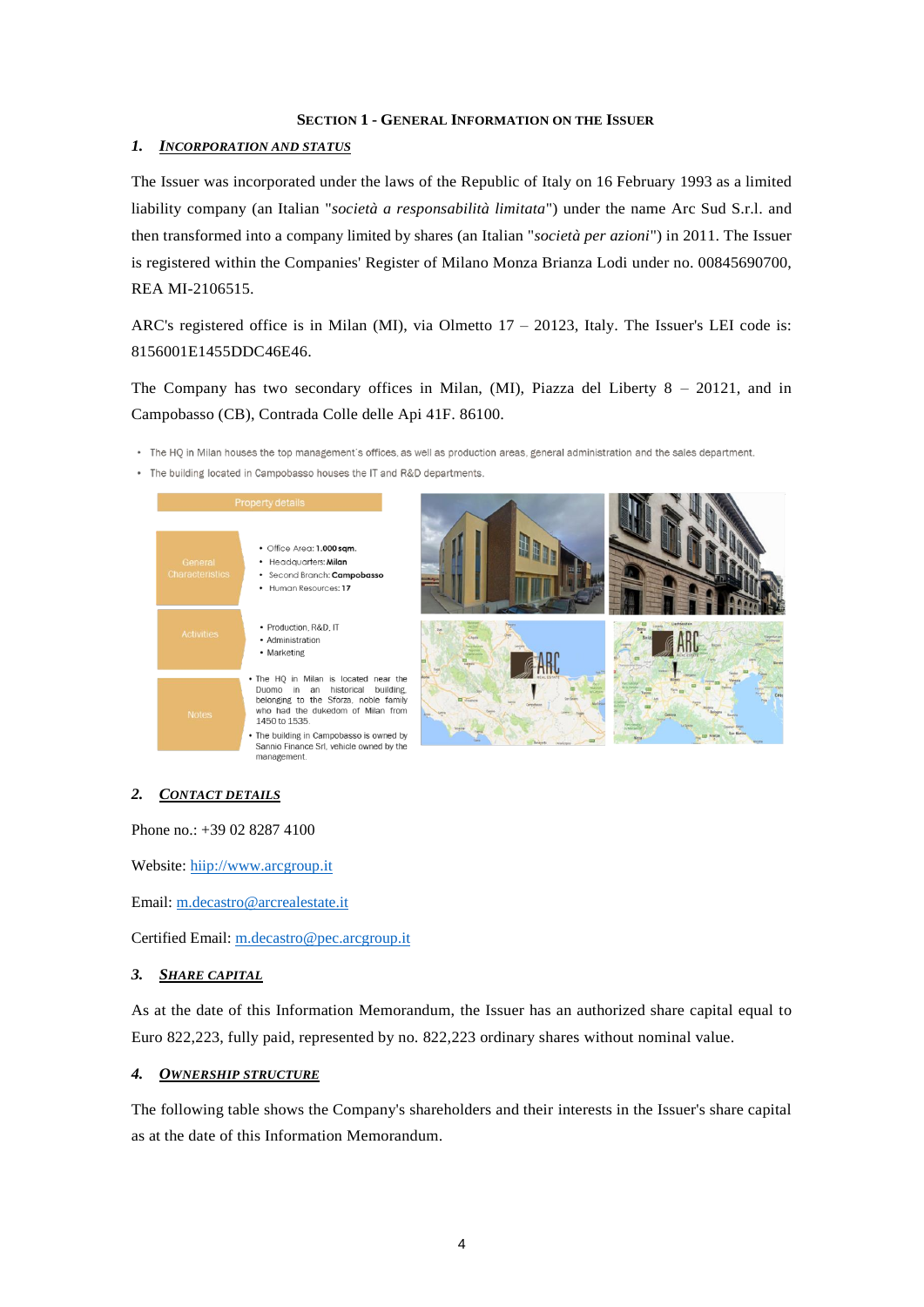### **SECTION 1 - GENERAL INFORMATION ON THE ISSUER**

### *1. INCORPORATION AND STATUS*

The Issuer was incorporated under the laws of the Republic of Italy on 16 February 1993 as a limited liability company (an Italian "*società a responsabilità limitata*") under the name Arc Sud S.r.l. and then transformed into a company limited by shares (an Italian "*società per azioni*") in 2011. The Issuer is registered within the Companies' Register of Milano Monza Brianza Lodi under no. 00845690700, REA MI-2106515.

ARC's registered office is in Milan (MI), via Olmetto 17 – 20123, Italy. The Issuer's LEI code is: 8156001E1455DDC46E46.

The Company has two secondary offices in Milan, (MI), Piazza del Liberty 8 – 20121, and in Campobasso (CB), Contrada Colle delle Api 41F. 86100.

- . The HQ in Milan houses the top management's offices, as well as production areas, general administration and the sales department.
- . The building located in Campobasso houses the IT and R&D departments.



### *2. CONTACT DETAILS*

Phone no.: +39 02 8287 4100

Website: hiip://www.arcgroup.it

Email: m.decastro@arcrealestate.it

Certified Email: m.decastro@pec.arcgroup.it

### *3. SHARE CAPITAL*

As at the date of this Information Memorandum, the Issuer has an authorized share capital equal to Euro 822,223, fully paid, represented by no. 822,223 ordinary shares without nominal value.

### *4. OWNERSHIP STRUCTURE*

The following table shows the Company's shareholders and their interests in the Issuer's share capital as at the date of this Information Memorandum.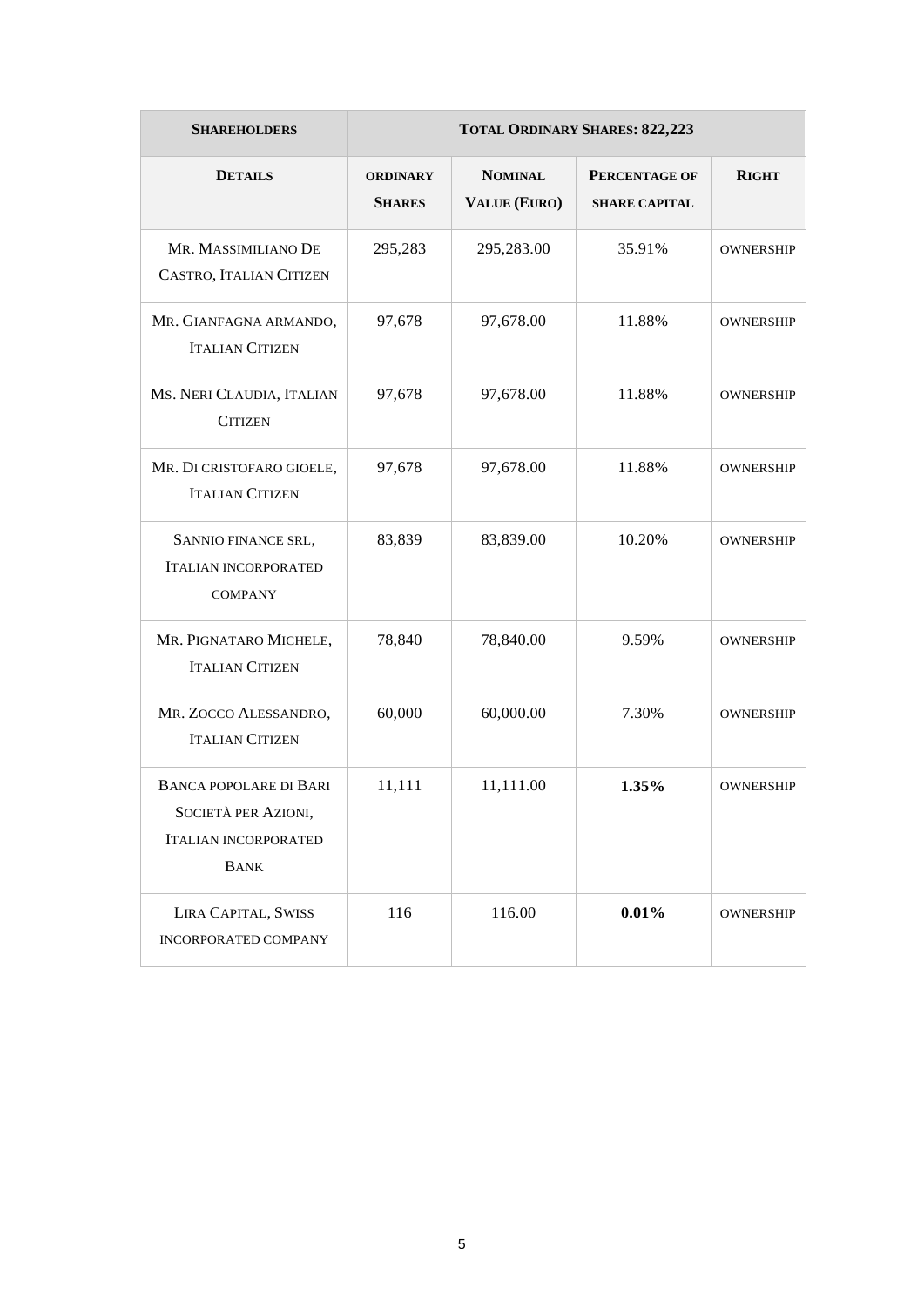| <b>SHAREHOLDERS</b>                                                                                | <b>TOTAL ORDINARY SHARES: 822,223</b> |                                       |                                       |                  |  |
|----------------------------------------------------------------------------------------------------|---------------------------------------|---------------------------------------|---------------------------------------|------------------|--|
| <b>DETAILS</b>                                                                                     | <b>ORDINARY</b><br><b>SHARES</b>      | <b>NOMINAL</b><br><b>VALUE (EURO)</b> | PERCENTAGE OF<br><b>SHARE CAPITAL</b> | <b>RIGHT</b>     |  |
| MR. MASSIMILIANO DE<br>CASTRO, ITALIAN CITIZEN                                                     | 295,283                               | 295,283.00                            | 35.91%                                | <b>OWNERSHIP</b> |  |
| MR. GIANFAGNA ARMANDO,<br><b>ITALIAN CITIZEN</b>                                                   | 97,678                                | 97,678.00                             | 11.88%                                | <b>OWNERSHIP</b> |  |
| MS. NERI CLAUDIA, ITALIAN<br><b>CITIZEN</b>                                                        | 97,678                                | 97,678.00                             | 11.88%                                | <b>OWNERSHIP</b> |  |
| MR. DI CRISTOFARO GIOELE,<br><b>ITALIAN CITIZEN</b>                                                | 97,678                                | 97,678.00                             | 11.88%                                | <b>OWNERSHIP</b> |  |
| SANNIO FINANCE SRL,<br><b>ITALIAN INCORPORATED</b><br><b>COMPANY</b>                               | 83,839                                | 83,839.00                             | 10.20%                                | <b>OWNERSHIP</b> |  |
| MR. PIGNATARO MICHELE,<br><b>ITALIAN CITIZEN</b>                                                   | 78,840                                | 78,840.00                             | 9.59%                                 | <b>OWNERSHIP</b> |  |
| MR. ZOCCO ALESSANDRO,<br><b>ITALIAN CITIZEN</b>                                                    | 60,000                                | 60,000.00                             | 7.30%                                 | <b>OWNERSHIP</b> |  |
| <b>BANCA POPOLARE DI BARI</b><br>SOCIETÀ PER AZIONI,<br><b>ITALIAN INCORPORATED</b><br><b>BANK</b> | 11,111                                | 11,111.00                             | 1.35%                                 | <b>OWNERSHIP</b> |  |
| LIRA CAPITAL, SWISS<br><b>INCORPORATED COMPANY</b>                                                 | 116                                   | 116.00                                | 0.01%                                 | <b>OWNERSHIP</b> |  |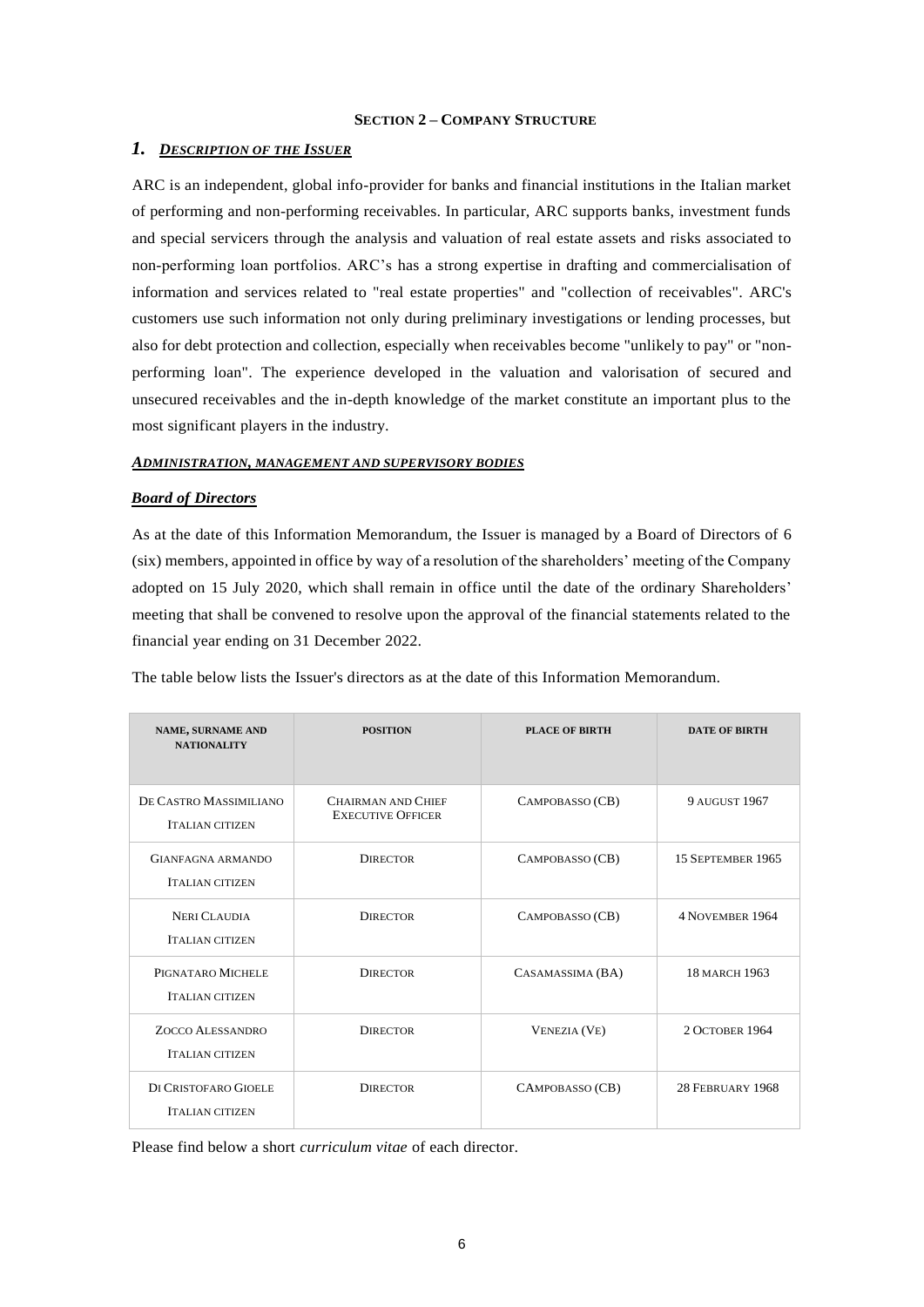### **SECTION 2 – COMPANY STRUCTURE**

### *1. DESCRIPTION OF THE ISSUER*

ARC is an independent, global info-provider for banks and financial institutions in the Italian market of performing and non-performing receivables. In particular, ARC supports banks, investment funds and special servicers through the analysis and valuation of real estate assets and risks associated to non-performing loan portfolios. ARC's has a strong expertise in drafting and commercialisation of information and services related to "real estate properties" and "collection of receivables". ARC's customers use such information not only during preliminary investigations or lending processes, but also for debt protection and collection, especially when receivables become "unlikely to pay" or "nonperforming loan". The experience developed in the valuation and valorisation of secured and unsecured receivables and the in-depth knowledge of the market constitute an important plus to the most significant players in the industry.

#### *ADMINISTRATION, MANAGEMENT AND SUPERVISORY BODIES*

#### *Board of Directors*

As at the date of this Information Memorandum, the Issuer is managed by a Board of Directors of 6 (six) members, appointed in office by way of a resolution of the shareholders' meeting of the Company adopted on 15 July 2020, which shall remain in office until the date of the ordinary Shareholders' meeting that shall be convened to resolve upon the approval of the financial statements related to the financial year ending on 31 December 2022.

The table below lists the Issuer's directors as at the date of this Information Memorandum.

| <b>NAME, SURNAME AND</b><br><b>NATIONALITY</b>    | <b>POSITION</b>                                       | <b>PLACE OF BIRTH</b> | <b>DATE OF BIRTH</b>   |
|---------------------------------------------------|-------------------------------------------------------|-----------------------|------------------------|
| DE CASTRO MASSIMILIANO<br><b>ITALIAN CITIZEN</b>  | <b>CHAIRMAN AND CHIEF</b><br><b>EXECUTIVE OFFICER</b> | CAMPOBASSO (CB)       | <b>9 AUGUST 1967</b>   |
| GIANFAGNA ARMANDO<br><b>ITALIAN CITIZEN</b>       | <b>DIRECTOR</b>                                       | CAMPOBASSO (CB)       | 15 SEPTEMBER 1965      |
| <b>NERI CLAUDIA</b><br><b>ITALIAN CITIZEN</b>     | <b>DIRECTOR</b>                                       | CAMPOBASSO (CB)       | <b>4 NOVEMBER 1964</b> |
| PIGNATARO MICHELE<br><b>ITALIAN CITIZEN</b>       | <b>DIRECTOR</b>                                       | CASAMASSIMA (BA)      | <b>18 MARCH 1963</b>   |
| <b>ZOCCO ALESSANDRO</b><br><b>ITALIAN CITIZEN</b> | <b>DIRECTOR</b>                                       | <b>VENEZIA (VE)</b>   | 2 OCTOBER 1964         |
| DI CRISTOFARO GIOELE<br><b>ITALIAN CITIZEN</b>    | <b>DIRECTOR</b>                                       | CAMPOBASSO (CB)       | 28 FEBRUARY 1968       |

Please find below a short *curriculum vitae* of each director.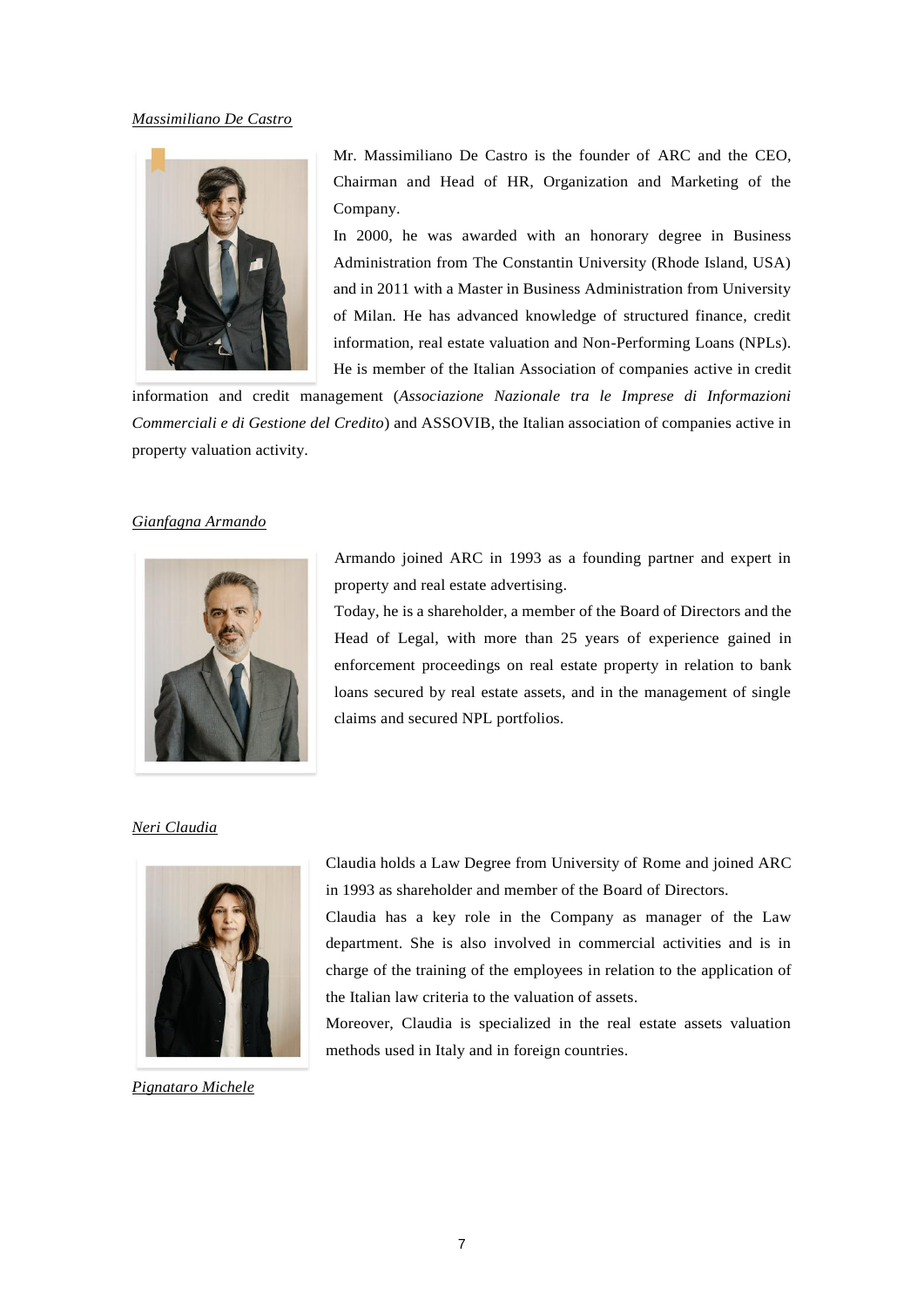### *Massimiliano De Castro*



Mr. Massimiliano De Castro is the founder of ARC and the CEO, Chairman and Head of HR, Organization and Marketing of the Company.

In 2000, he was awarded with an honorary degree in Business Administration from The Constantin University (Rhode Island, USA) and in 2011 with a Master in Business Administration from University of Milan. He has advanced knowledge of structured finance, credit information, real estate valuation and Non-Performing Loans (NPLs). He is member of the Italian Association of companies active in credit

information and credit management (*Associazione Nazionale tra le Imprese di Informazioni Commerciali e di Gestione del Credito*) and ASSOVIB, the Italian association of companies active in property valuation activity.

### *Gianfagna Armando*



Armando joined ARC in 1993 as a founding partner and expert in property and real estate advertising.

Today, he is a shareholder, a member of the Board of Directors and the Head of Legal, with more than 25 years of experience gained in enforcement proceedings on real estate property in relation to bank loans secured by real estate assets, and in the management of single claims and secured NPL portfolios.

### *Neri Claudia*



*Pignataro Michele*

Claudia holds a Law Degree from University of Rome and joined ARC in 1993 as shareholder and member of the Board of Directors.

Claudia has a key role in the Company as manager of the Law department. She is also involved in commercial activities and is in charge of the training of the employees in relation to the application of the Italian law criteria to the valuation of assets.

Moreover, Claudia is specialized in the real estate assets valuation methods used in Italy and in foreign countries.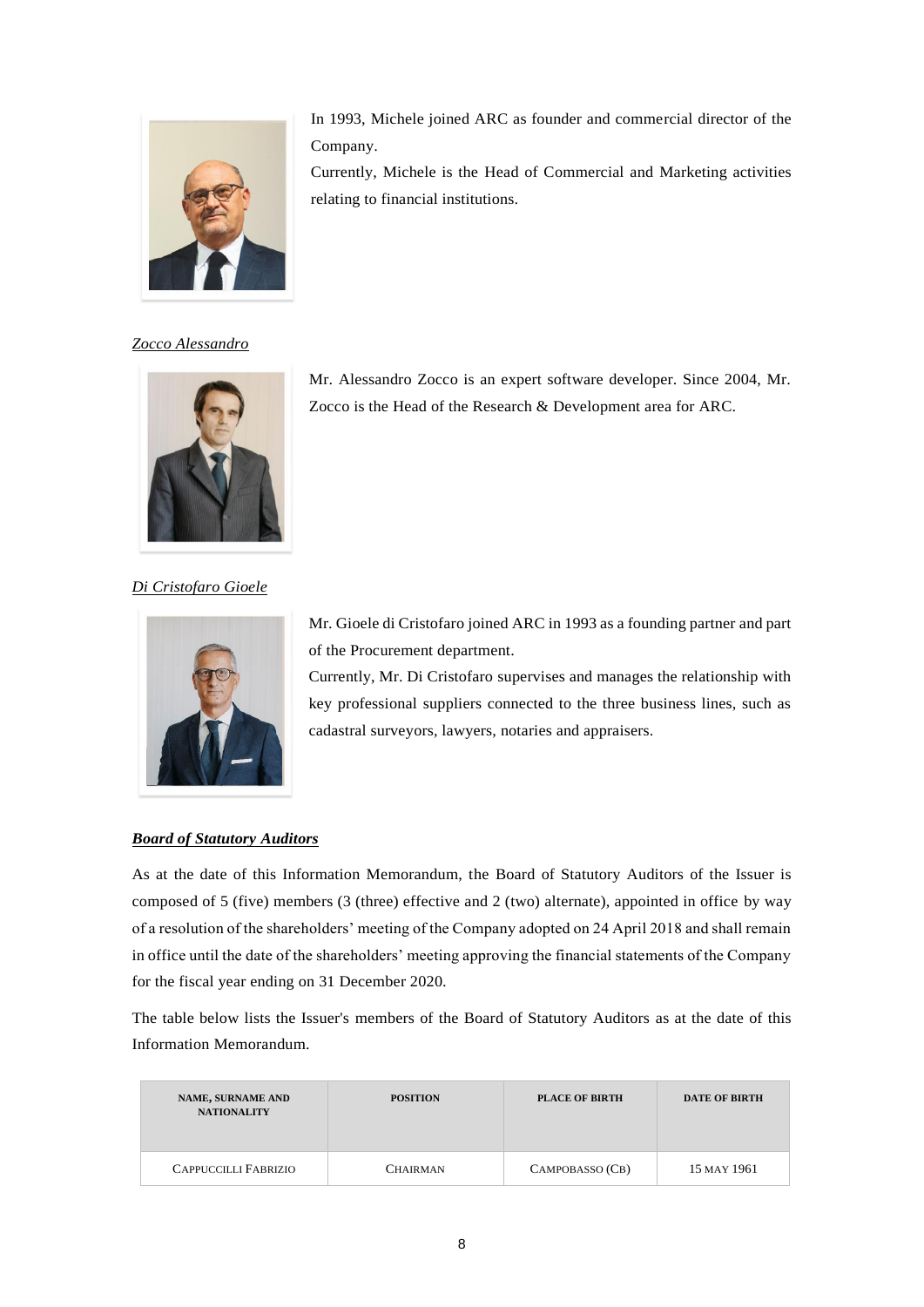

In 1993, Michele joined ARC as founder and commercial director of the Company.

Currently, Michele is the Head of Commercial and Marketing activities relating to financial institutions.

*Zocco Alessandro*



Mr. Alessandro Zocco is an expert software developer. Since 2004, Mr. Zocco is the Head of the Research & Development area for ARC.

*Di Cristofaro Gioele*



Mr. Gioele di Cristofaro joined ARC in 1993 as a founding partner and part of the Procurement department.

Currently, Mr. Di Cristofaro supervises and manages the relationship with key professional suppliers connected to the three business lines, such as cadastral surveyors, lawyers, notaries and appraisers.

## *Board of Statutory Auditors*

As at the date of this Information Memorandum, the Board of Statutory Auditors of the Issuer is composed of 5 (five) members (3 (three) effective and 2 (two) alternate), appointed in office by way of a resolution of the shareholders' meeting of the Company adopted on 24 April 2018 and shall remain in office until the date of the shareholders' meeting approving the financial statements of the Company for the fiscal year ending on 31 December 2020.

The table below lists the Issuer's members of the Board of Statutory Auditors as at the date of this Information Memorandum.

| <b>NAME, SURNAME AND</b><br><b>NATIONALITY</b> | <b>POSITION</b> | <b>PLACE OF BIRTH</b> | <b>DATE OF BIRTH</b> |
|------------------------------------------------|-----------------|-----------------------|----------------------|
| <b>CAPPUCCILLI FABRIZIO</b>                    | <b>CHAIRMAN</b> | CAMPOBASSO (CB)       | 15 MAY 1961          |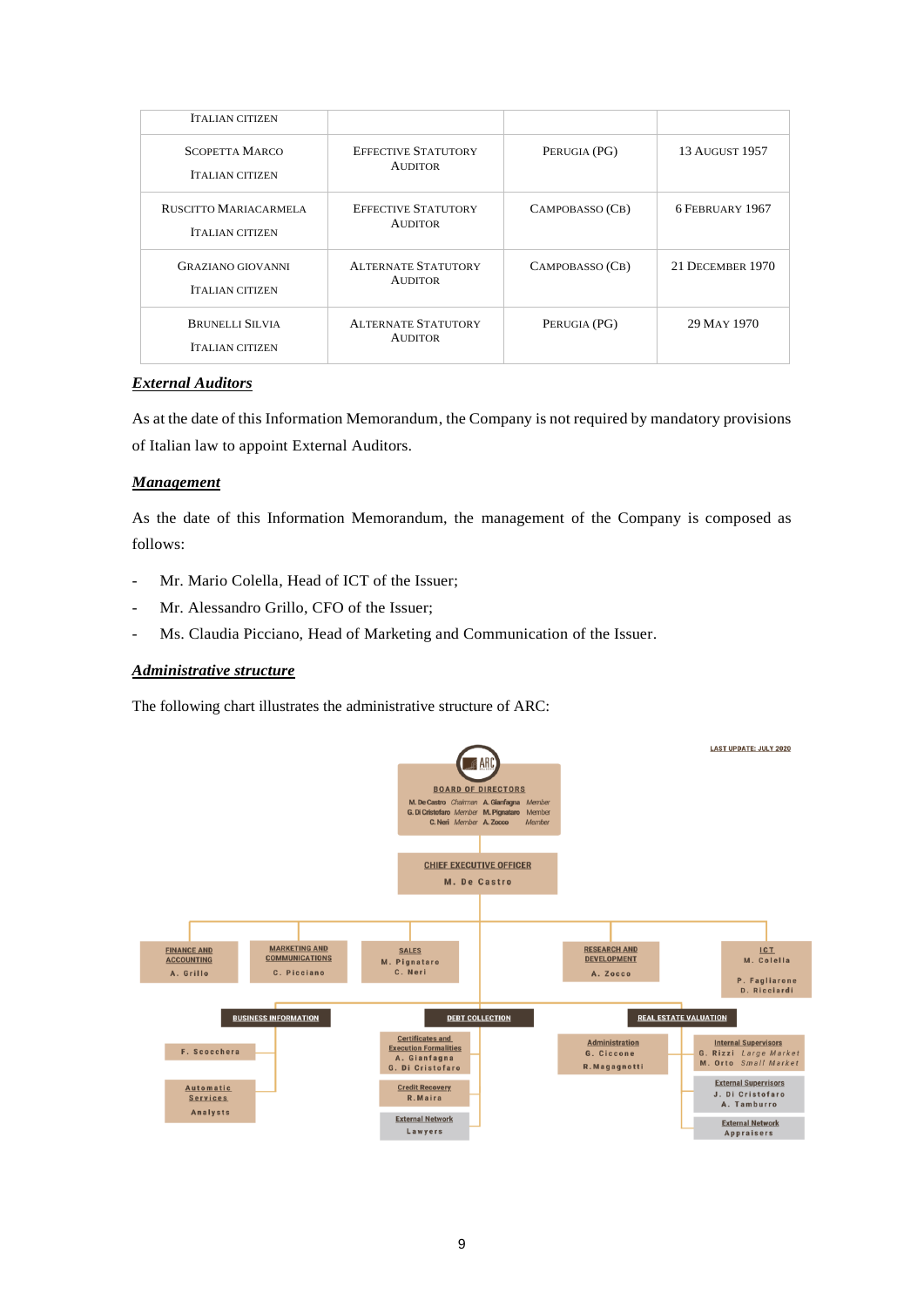| <b>ITALIAN CITIZEN</b>                             |                                              |                 |                       |
|----------------------------------------------------|----------------------------------------------|-----------------|-----------------------|
| <b>SCOPETTA MARCO</b><br><b>ITALIAN CITIZEN</b>    | <b>EFFECTIVE STATUTORY</b><br><b>AUDITOR</b> | PERUGIA (PG)    | <b>13 AUGUST 1957</b> |
| RUSCITTO MARIACARMELA<br><b>ITALIAN CITIZEN</b>    | <b>EFFECTIVE STATUTORY</b><br><b>AUDITOR</b> | CAMPOBASSO (CB) | 6 FEBRUARY 1967       |
| <b>GRAZIANO GIOVANNI</b><br><b>ITALIAN CITIZEN</b> | <b>ALTERNATE STATUTORY</b><br><b>AUDITOR</b> | CAMPOBASSO (CB) | 21 DECEMBER 1970      |
| <b>BRUNELLI SILVIA</b><br><b>ITALIAN CITIZEN</b>   | <b>ALTERNATE STATUTORY</b><br><b>AUDITOR</b> | PERUGIA (PG)    | 29 MAY 1970           |

## *External Auditors*

As at the date of this Information Memorandum, the Company is not required by mandatory provisions of Italian law to appoint External Auditors.

## *Management*

As the date of this Information Memorandum, the management of the Company is composed as follows:

- Mr. Mario Colella, Head of ICT of the Issuer:
- Mr. Alessandro Grillo, CFO of the Issuer:
- Ms. Claudia Picciano, Head of Marketing and Communication of the Issuer.

## *Administrative structure*

The following chart illustrates the administrative structure of ARC:

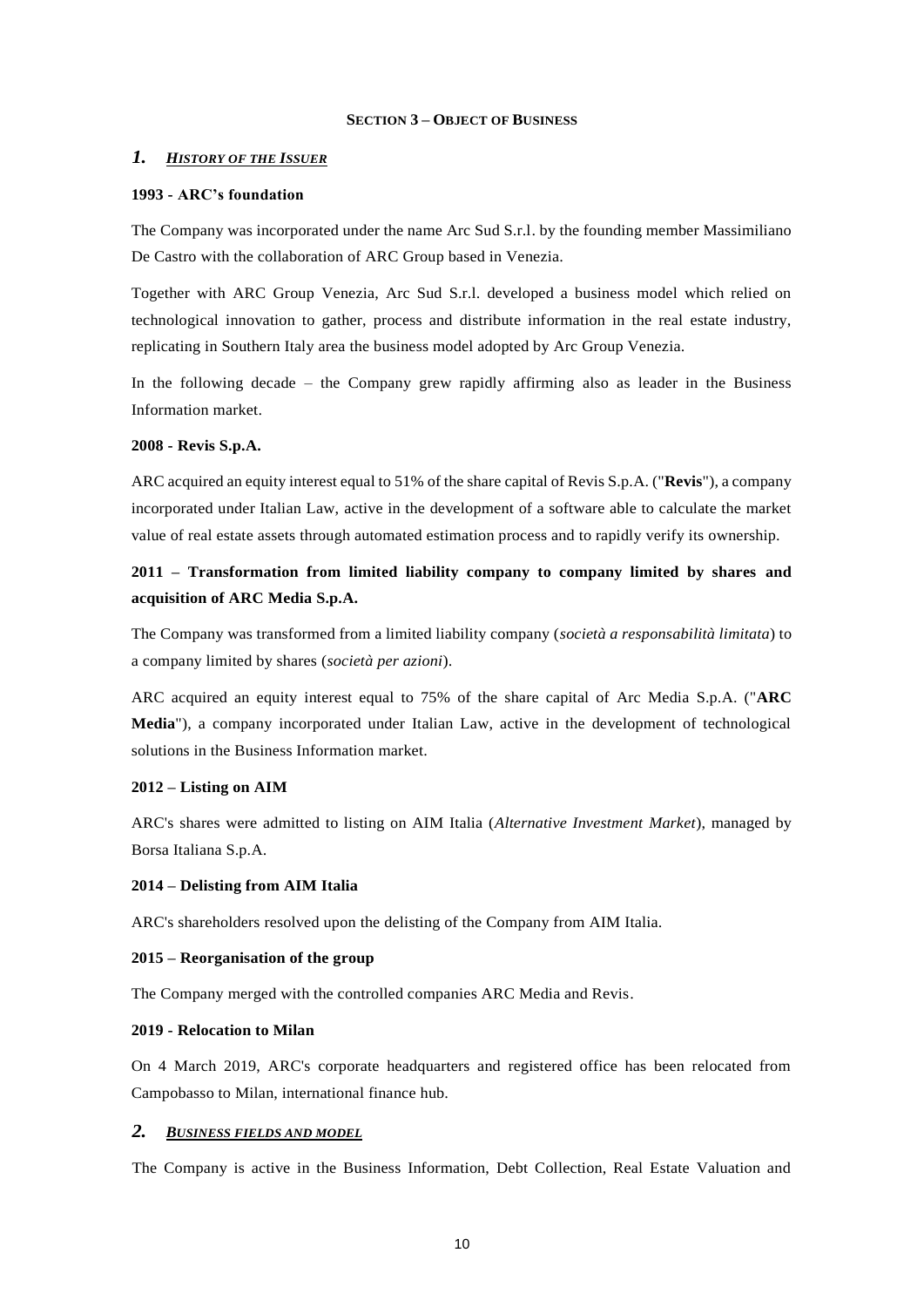### **SECTION 3 – OBJECT OF BUSINESS**

#### *1. HISTORY OF THE ISSUER*

### **1993 - ARC's foundation**

The Company was incorporated under the name Arc Sud S.r.l. by the founding member Massimiliano De Castro with the collaboration of ARC Group based in Venezia.

Together with ARC Group Venezia, Arc Sud S.r.l. developed a business model which relied on technological innovation to gather, process and distribute information in the real estate industry, replicating in Southern Italy area the business model adopted by Arc Group Venezia.

In the following decade – the Company grew rapidly affirming also as leader in the Business Information market.

### **2008 - Revis S.p.A.**

ARC acquired an equity interest equal to 51% of the share capital of Revis S.p.A. ("**Revis**"), a company incorporated under Italian Law, active in the development of a software able to calculate the market value of real estate assets through automated estimation process and to rapidly verify its ownership.

# **2011 – Transformation from limited liability company to company limited by shares and acquisition of ARC Media S.p.A.**

The Company was transformed from a limited liability company (*società a responsabilità limitata*) to a company limited by shares (*società per azioni*).

ARC acquired an equity interest equal to 75% of the share capital of Arc Media S.p.A. ("**ARC Media**"), a company incorporated under Italian Law, active in the development of technological solutions in the Business Information market.

### **2012 – Listing on AIM**

ARC's shares were admitted to listing on AIM Italia (*Alternative Investment Market*), managed by Borsa Italiana S.p.A.

#### **2014 – Delisting from AIM Italia**

ARC's shareholders resolved upon the delisting of the Company from AIM Italia.

### **2015 – Reorganisation of the group**

The Company merged with the controlled companies ARC Media and Revis.

### **2019 - Relocation to Milan**

On 4 March 2019, ARC's corporate headquarters and registered office has been relocated from Campobasso to Milan, international finance hub.

### *2. BUSINESS FIELDS AND MODEL*

The Company is active in the Business Information, Debt Collection, Real Estate Valuation and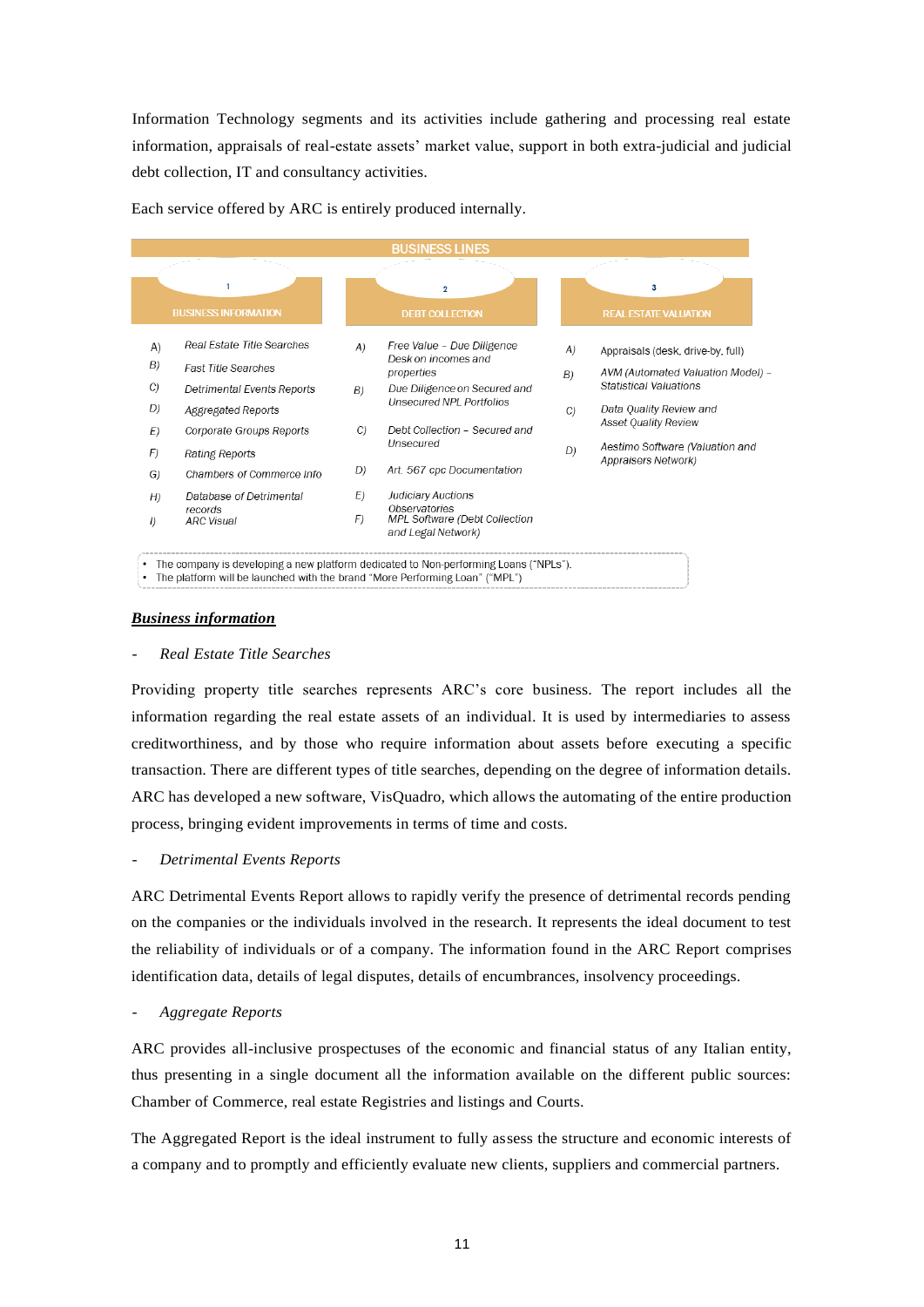Information Technology segments and its activities include gathering and processing real estate information, appraisals of real-estate assets' market value, support in both extra-judicial and judicial debt collection, IT and consultancy activities.

|                  |                              |    | <b>BUSINESS LINES</b>                                                |    |                                                        |
|------------------|------------------------------|----|----------------------------------------------------------------------|----|--------------------------------------------------------|
|                  | <b>BUSINESS INFORMATION</b>  |    | $\overline{2}$<br><b>DEBT COLLECTION</b>                             |    | 3<br><b>REAL ESTATE VALUATION</b>                      |
| A)               | Real Estate Title Searches   | A) | Free Value - Due Diligence                                           | A) | Appraisals (desk, drive-by, full)                      |
| B)               | <b>Fast Title Searches</b>   |    | Desk on incomes and<br>properties                                    | B) | AVM (Automated Valuation Model)                        |
| C)               | Detrimental Events Reports   | B) | Due Diligence on Secured and                                         |    | <b>Statistical Valuations</b>                          |
| D)               | Aggregated Reports           |    | <b>Unsecured NPL Portfolios</b>                                      | C) | Data Quality Review and                                |
| E)               | Corporate Groups Reports     | C) | Debt Collection - Secured and                                        |    | <b>Asset Quality Review</b>                            |
| F)               | Rating Reports               |    | Unsecured                                                            | D) | Aestimo Software (Valuation and<br>Appraisers Network) |
| G)               | Chambers of Commerce Info    | D) | Art. 567 cpc Documentation                                           |    |                                                        |
| H)               | Database of Detrimental      | E) | Judiciary Auctions                                                   |    |                                                        |
| $\left  \right $ | records<br><b>ARC Visual</b> | F) | Observatories<br>MPL Software (Debt Collection<br>and Legal Network) |    |                                                        |

Each service offered by ARC is entirely produced internally.

### *Business information*

### - *Real Estate Title Searches*

Providing property title searches represents ARC's core business. The report includes all the information regarding the real estate assets of an individual. It is used by intermediaries to assess creditworthiness, and by those who require information about assets before executing a specific transaction. There are different types of title searches, depending on the degree of information details. ARC has developed a new software, VisQuadro, which allows the automating of the entire production process, bringing evident improvements in terms of time and costs.

- *Detrimental Events Reports*

ARC Detrimental Events Report allows to rapidly verify the presence of detrimental records pending on the companies or the individuals involved in the research. It represents the ideal document to test the reliability of individuals or of a company. The information found in the ARC Report comprises identification data, details of legal disputes, details of encumbrances, insolvency proceedings.

### - *Aggregate Reports*

ARC provides all-inclusive prospectuses of the economic and financial status of any Italian entity, thus presenting in a single document all the information available on the different public sources: Chamber of Commerce, real estate Registries and listings and Courts.

The Aggregated Report is the ideal instrument to fully assess the structure and economic interests of a company and to promptly and efficiently evaluate new clients, suppliers and commercial partners.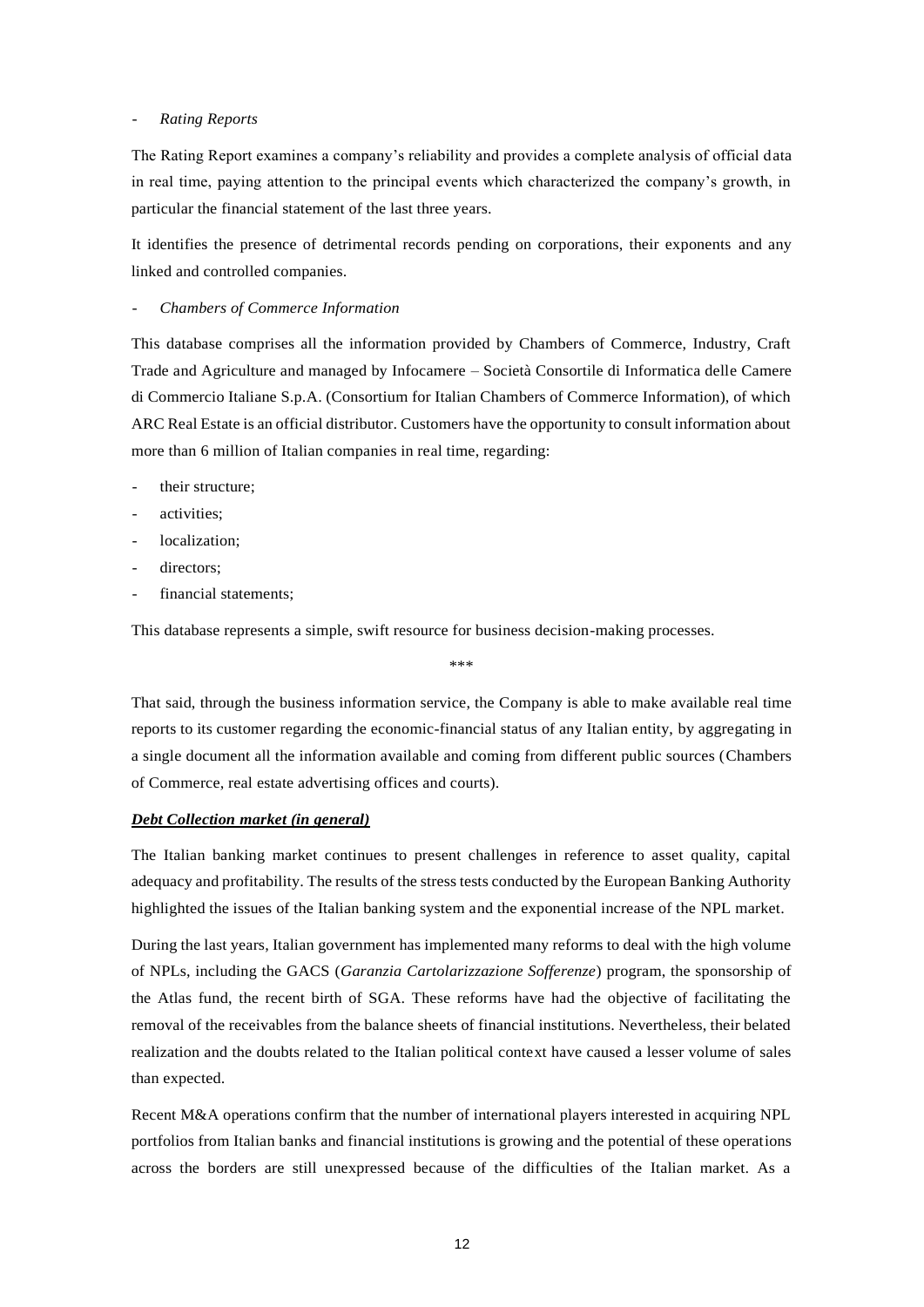#### - *Rating Reports*

The Rating Report examines a company's reliability and provides a complete analysis of official data in real time, paying attention to the principal events which characterized the company's growth, in particular the financial statement of the last three years.

It identifies the presence of detrimental records pending on corporations, their exponents and any linked and controlled companies.

### - *Chambers of Commerce Information*

This database comprises all the information provided by Chambers of Commerce, Industry, Craft Trade and Agriculture and managed by Infocamere – Società Consortile di Informatica delle Camere di Commercio Italiane S.p.A. (Consortium for Italian Chambers of Commerce Information), of which ARC Real Estate is an official distributor. Customers have the opportunity to consult information about more than 6 million of Italian companies in real time, regarding:

- their structure:
- activities:
- localization:
- directors:
- financial statements;

This database represents a simple, swift resource for business decision-making processes.

#### \*\*\*

That said, through the business information service, the Company is able to make available real time reports to its customer regarding the economic-financial status of any Italian entity, by aggregating in a single document all the information available and coming from different public sources (Chambers of Commerce, real estate advertising offices and courts).

#### *Debt Collection market (in general)*

The Italian banking market continues to present challenges in reference to asset quality, capital adequacy and profitability. The results of the stress tests conducted by the European Banking Authority highlighted the issues of the Italian banking system and the exponential increase of the NPL market.

During the last years, Italian government has implemented many reforms to deal with the high volume of NPLs, including the GACS (*Garanzia Cartolarizzazione Sofferenze*) program, the sponsorship of the Atlas fund, the recent birth of SGA. These reforms have had the objective of facilitating the removal of the receivables from the balance sheets of financial institutions. Nevertheless, their belated realization and the doubts related to the Italian political context have caused a lesser volume of sales than expected.

Recent M&A operations confirm that the number of international players interested in acquiring NPL portfolios from Italian banks and financial institutions is growing and the potential of these operations across the borders are still unexpressed because of the difficulties of the Italian market. As a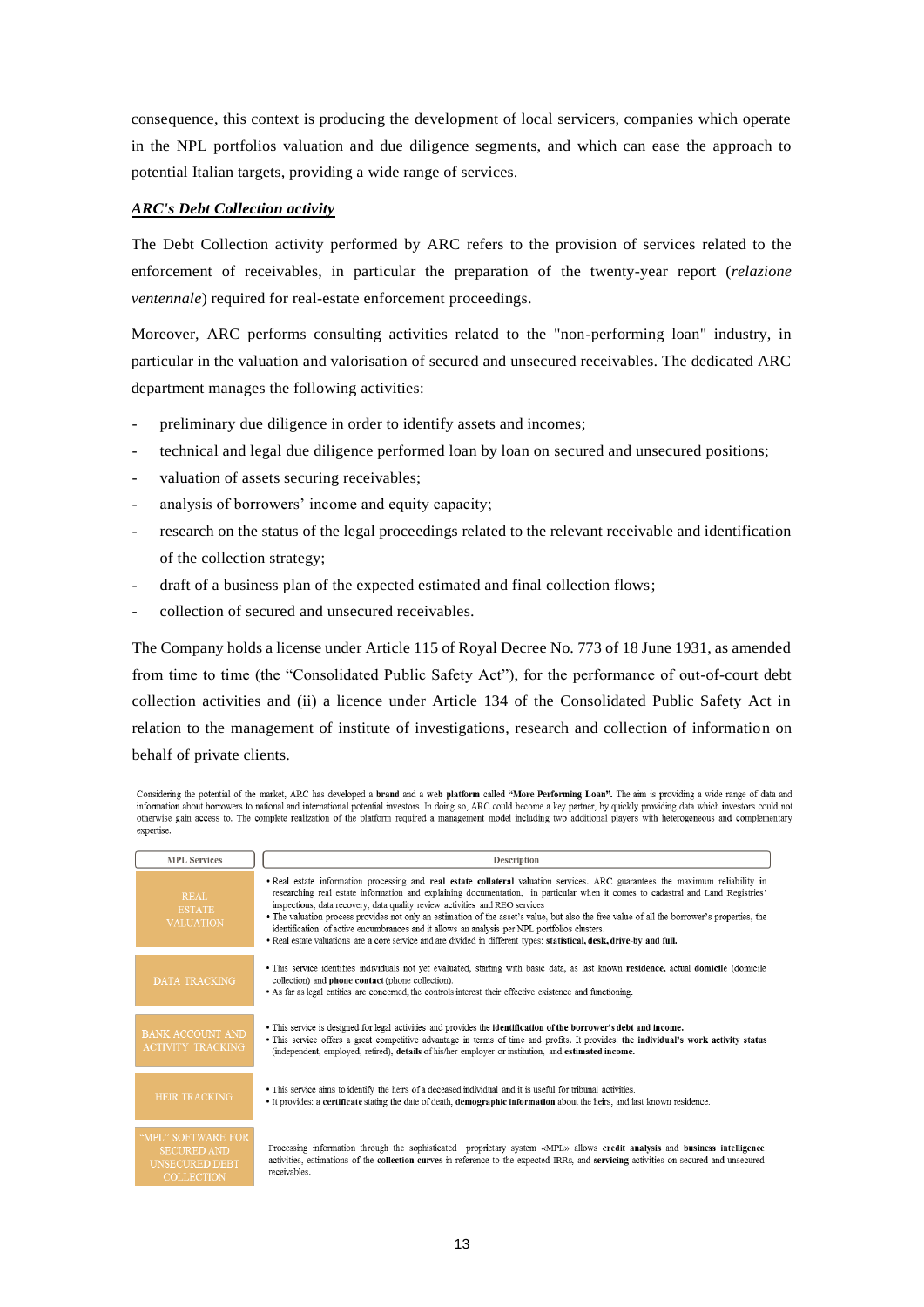consequence, this context is producing the development of local servicers, companies which operate in the NPL portfolios valuation and due diligence segments, and which can ease the approach to potential Italian targets, providing a wide range of services.

### *ARC's Debt Collection activity*

The Debt Collection activity performed by ARC refers to the provision of services related to the enforcement of receivables, in particular the preparation of the twenty-year report (*relazione ventennale*) required for real-estate enforcement proceedings.

Moreover, ARC performs consulting activities related to the "non-performing loan" industry, in particular in the valuation and valorisation of secured and unsecured receivables. The dedicated ARC department manages the following activities:

- preliminary due diligence in order to identify assets and incomes;
- technical and legal due diligence performed loan by loan on secured and unsecured positions;
- valuation of assets securing receivables;
- analysis of borrowers' income and equity capacity;
- research on the status of the legal proceedings related to the relevant receivable and identification of the collection strategy;
- draft of a business plan of the expected estimated and final collection flows;
- collection of secured and unsecured receivables.

The Company holds a license under Article 115 of Royal Decree No. 773 of 18 June 1931, as amended from time to time (the "Consolidated Public Safety Act"), for the performance of out-of-court debt collection activities and (ii) a licence under Article 134 of the Consolidated Public Safety Act in relation to the management of institute of investigations, research and collection of information on behalf of private clients.

Considering the potential of the market, ARC has developed a brand and a web platform called "More Performing Loan". The aim is providing a wide range of data and information about borrowers to national and international potential investors. In doing so, ARC could become a key partner, by quickly providing data which investors could not otherwise gain access to. The complete realization of the platform required a management model including two additional players with heterogeneous and complementary expertise

| <b>MPL Services</b>                                                                    | Description                                                                                                                                                                                                                                                                                                                                                                                                                                                                                                                                                                                                                                                                                                             |
|----------------------------------------------------------------------------------------|-------------------------------------------------------------------------------------------------------------------------------------------------------------------------------------------------------------------------------------------------------------------------------------------------------------------------------------------------------------------------------------------------------------------------------------------------------------------------------------------------------------------------------------------------------------------------------------------------------------------------------------------------------------------------------------------------------------------------|
| REAL<br><b>ESTATE</b><br><b>VALUATION</b>                                              | . Real estate information processing and real estate collateral valuation services. ARC guarantees the maximum reliability in<br>researching real estate information and explaining documentation, in particular when it comes to cadastral and Land Registries'<br>inspections, data recovery, data quality review activities and REO services<br>• The valuation process provides not only an estimation of the asset's value, but also the free value of all the borrower's properties, the<br>identification of active encumbrances and it allows an analysis per NPL portfolios clusters.<br>. Real estate valuations are a core service and are divided in different types: statistical, desk, drive-by and full. |
| DATA TRACKING                                                                          | · This service identifies individuals not yet evaluated, starting with basic data, as last known residence, actual domicile (domicile<br>collection) and <b>phone</b> contact (phone collection).<br>• As far as legal entities are concerned, the controls interest their effective existence and functioning.                                                                                                                                                                                                                                                                                                                                                                                                         |
| <b>BANK ACCOUNT AND</b><br><b>ACTIVITY TRACKING</b>                                    | • This service is designed for legal activities and provides the identification of the borrower's debt and income.<br>• This service offers a great competitive advantage in terms of time and profits. It provides: the individual's work activity status<br>(independent, employed, retired), details of his/her employer or institution, and estimated income.                                                                                                                                                                                                                                                                                                                                                       |
| <b>HEIR TRACKING</b>                                                                   | • This service aims to identify the heirs of a deceased individual and it is useful for tribunal activities.<br>• It provides: a certificate stating the date of death, demographic information about the heirs, and last known residence.                                                                                                                                                                                                                                                                                                                                                                                                                                                                              |
| "MPL" SOFTWARE FOR<br><b>SECURED AND</b><br><b>UNSECURED DEBT</b><br><b>COLLECTION</b> | Processing information through the sophisticated proprietary system «MPL» allows credit analysis and business intelligence<br>activities, estimations of the collection curves in reference to the expected IRRs, and servicing activities on secured and unsecured<br>receivables.                                                                                                                                                                                                                                                                                                                                                                                                                                     |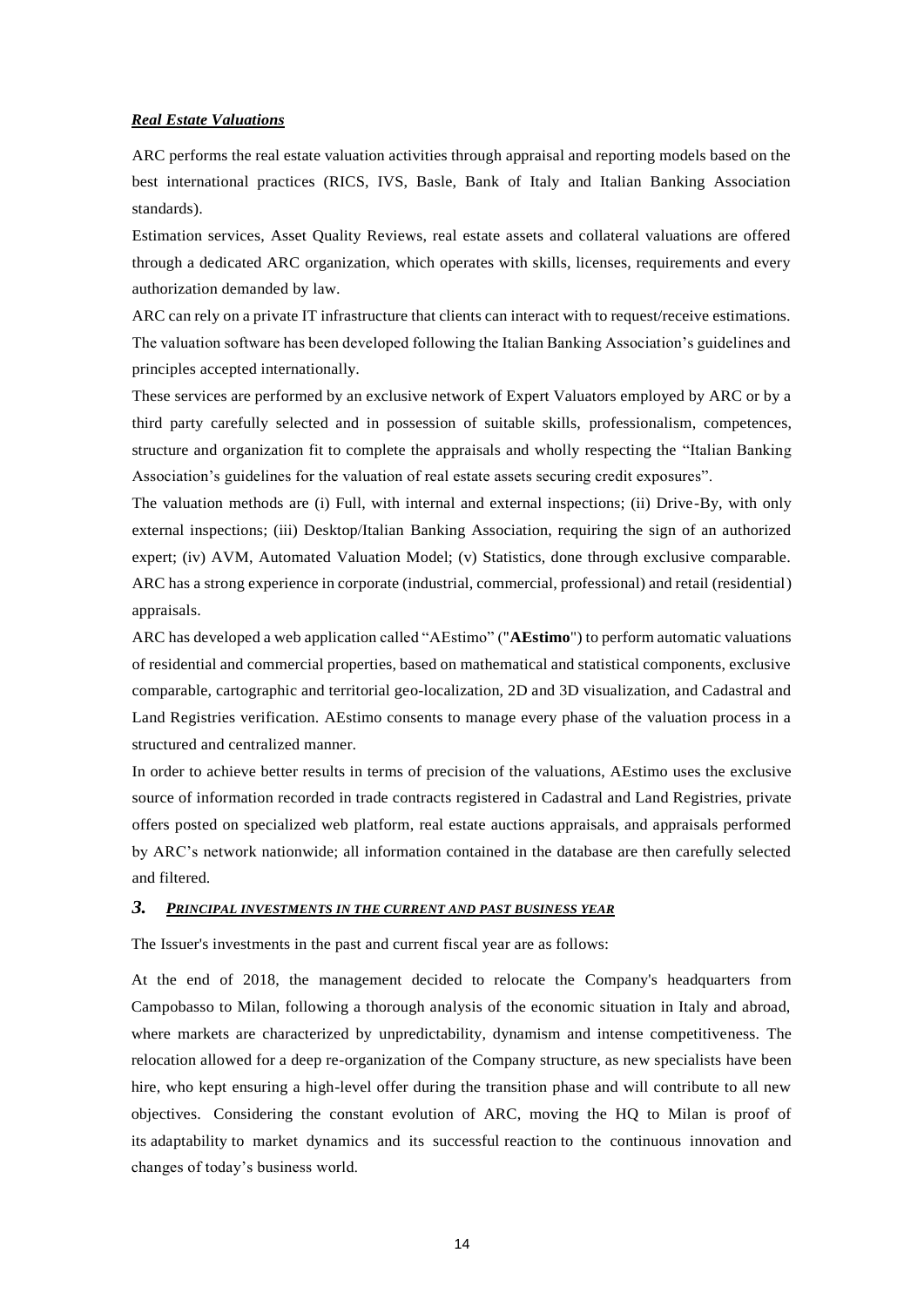#### *Real Estate Valuations*

ARC performs the real estate valuation activities through appraisal and reporting models based on the best international practices (RICS, IVS, Basle, Bank of Italy and Italian Banking Association standards).

Estimation services, Asset Quality Reviews, real estate assets and collateral valuations are offered through a dedicated ARC organization, which operates with skills, licenses, requirements and every authorization demanded by law.

ARC can rely on a private IT infrastructure that clients can interact with to request/receive estimations. The valuation software has been developed following the Italian Banking Association's guidelines and principles accepted internationally.

These services are performed by an exclusive network of Expert Valuators employed by ARC or by a third party carefully selected and in possession of suitable skills, professionalism, competences, structure and organization fit to complete the appraisals and wholly respecting the "Italian Banking Association's guidelines for the valuation of real estate assets securing credit exposures".

The valuation methods are (i) Full, with internal and external inspections; (ii) Drive-By, with only external inspections; (iii) Desktop/Italian Banking Association, requiring the sign of an authorized expert; (iv) AVM, Automated Valuation Model; (v) Statistics, done through exclusive comparable. ARC has a strong experience in corporate (industrial, commercial, professional) and retail (residential) appraisals.

ARC has developed a web application called "AEstimo" ("**AEstimo**") to perform automatic valuations of residential and commercial properties, based on mathematical and statistical components, exclusive comparable, cartographic and territorial geo-localization, 2D and 3D visualization, and Cadastral and Land Registries verification. AEstimo consents to manage every phase of the valuation process in a structured and centralized manner.

In order to achieve better results in terms of precision of the valuations, AEstimo uses the exclusive source of information recorded in trade contracts registered in Cadastral and Land Registries, private offers posted on specialized web platform, real estate auctions appraisals, and appraisals performed by ARC's network nationwide; all information contained in the database are then carefully selected and filtered.

## *3. PRINCIPAL INVESTMENTS IN THE CURRENT AND PAST BUSINESS YEAR*

The Issuer's investments in the past and current fiscal year are as follows:

At the end of 2018, the management decided to relocate the Company's headquarters from Campobasso to Milan, following a thorough analysis of the economic situation in Italy and abroad, where markets are characterized by unpredictability, dynamism and intense competitiveness. The relocation allowed for a deep re-organization of the Company structure, as new specialists have been hire, who kept ensuring a high-level offer during the transition phase and will contribute to all new objectives. Considering the constant evolution of ARC, moving the HQ to Milan is proof of its adaptability to market dynamics and its successful reaction to the continuous innovation and changes of today's business world.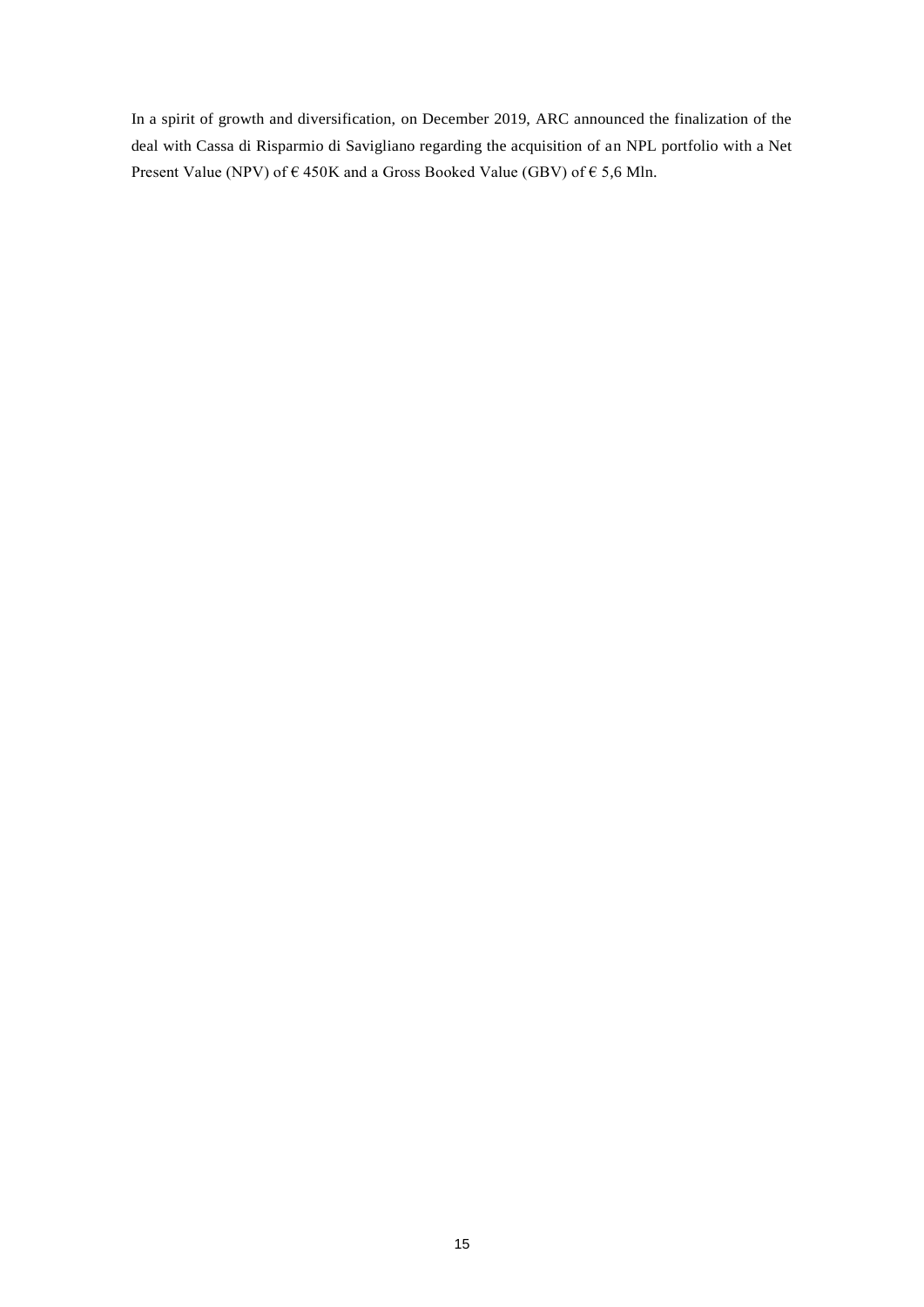In a spirit of growth and diversification, on December 2019, ARC announced the finalization of the deal with Cassa di Risparmio di Savigliano regarding the acquisition of an NPL portfolio with a Net Present Value (NPV) of  $\epsilon$  450K and a Gross Booked Value (GBV) of  $\epsilon$  5,6 Mln.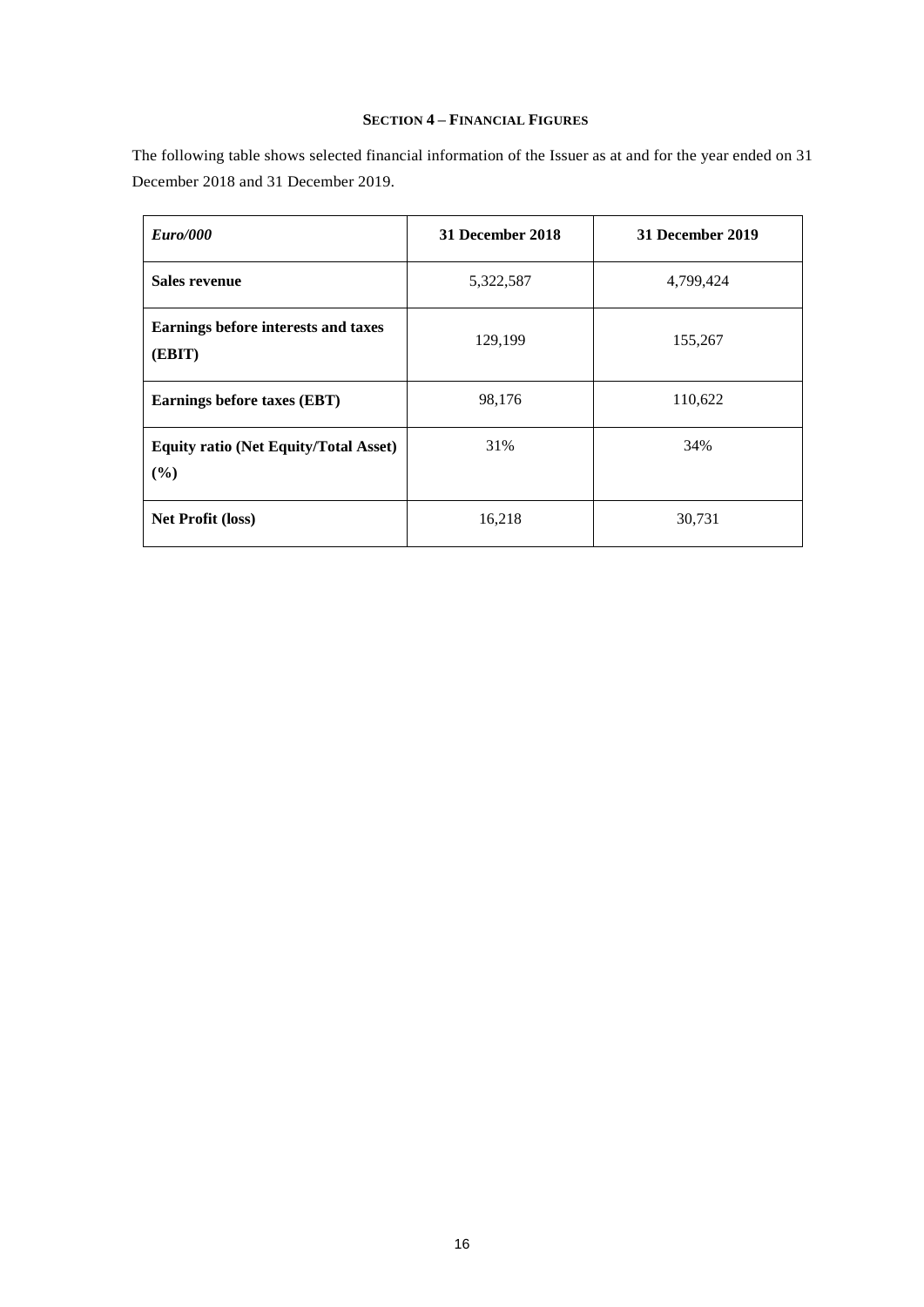## **SECTION 4 – FINANCIAL FIGURES**

The following table shows selected financial information of the Issuer as at and for the year ended on 31 December 2018 and 31 December 2019.

| Euro/000                                            | 31 December 2018 | 31 December 2019 |
|-----------------------------------------------------|------------------|------------------|
| <b>Sales revenue</b>                                | 5,322,587        | 4,799,424        |
| Earnings before interests and taxes<br>(EBIT)       | 129,199          | 155,267          |
| Earnings before taxes (EBT)                         | 98,176           | 110,622          |
| <b>Equity ratio (Net Equity/Total Asset)</b><br>(%) | 31%              | 34%              |
| <b>Net Profit (loss)</b>                            | 16,218           | 30,731           |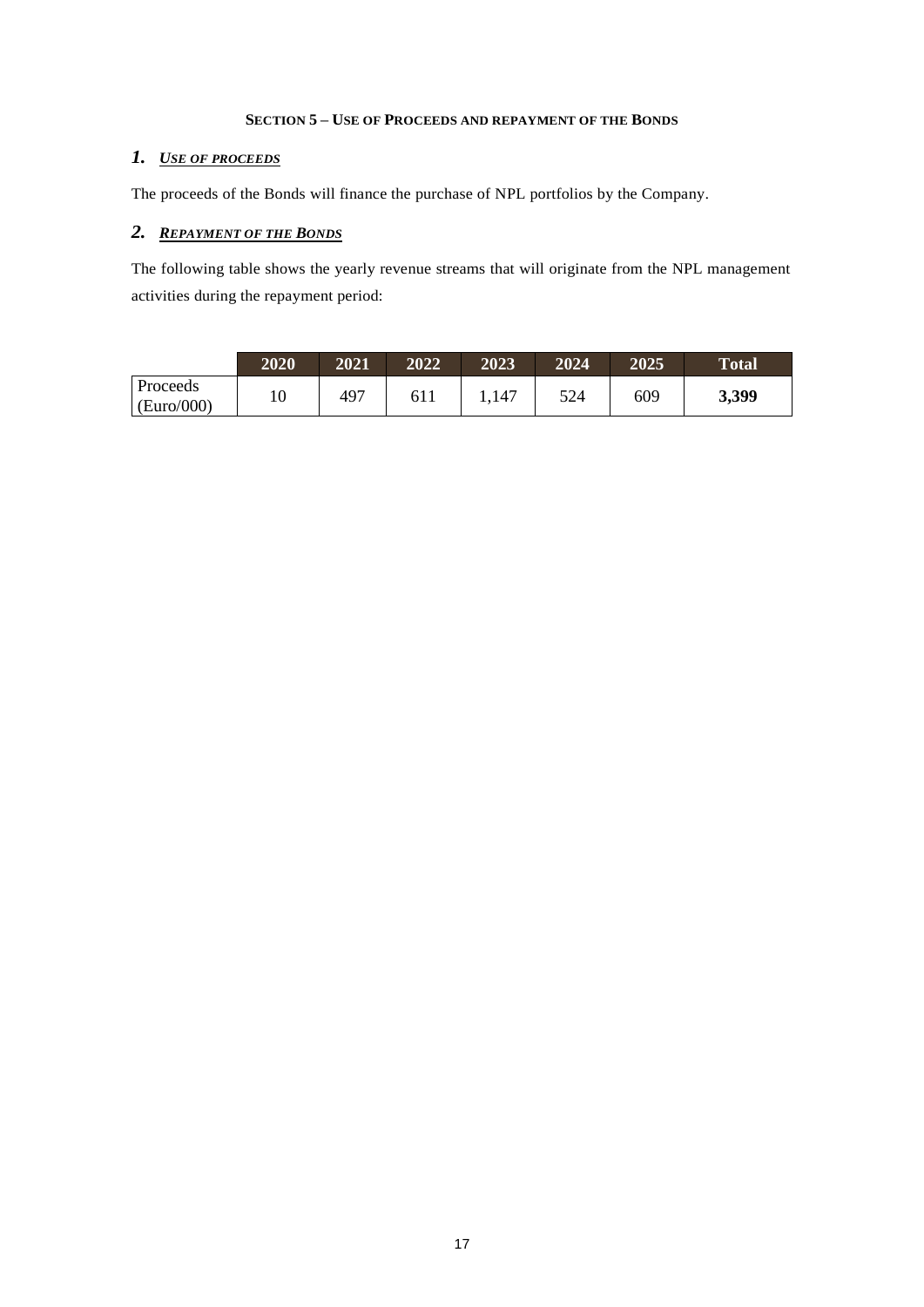### **SECTION 5 – USE OF PROCEEDS AND REPAYMENT OF THE BONDS**

## *1. USE OF PROCEEDS*

The proceeds of the Bonds will finance the purchase of NPL portfolios by the Company.

# *2. REPAYMENT OF THE BONDS*

The following table shows the yearly revenue streams that will originate from the NPL management activities during the repayment period:

|                        | 2020 | 2021            | 2022 | 2023 | 2024 | 2025 | <b>Total</b> |
|------------------------|------|-----------------|------|------|------|------|--------------|
| Proceeds<br>(Euro/000) | 10   | 49 <sup>7</sup> | -611 | .147 | 524  | 609  | 3,399        |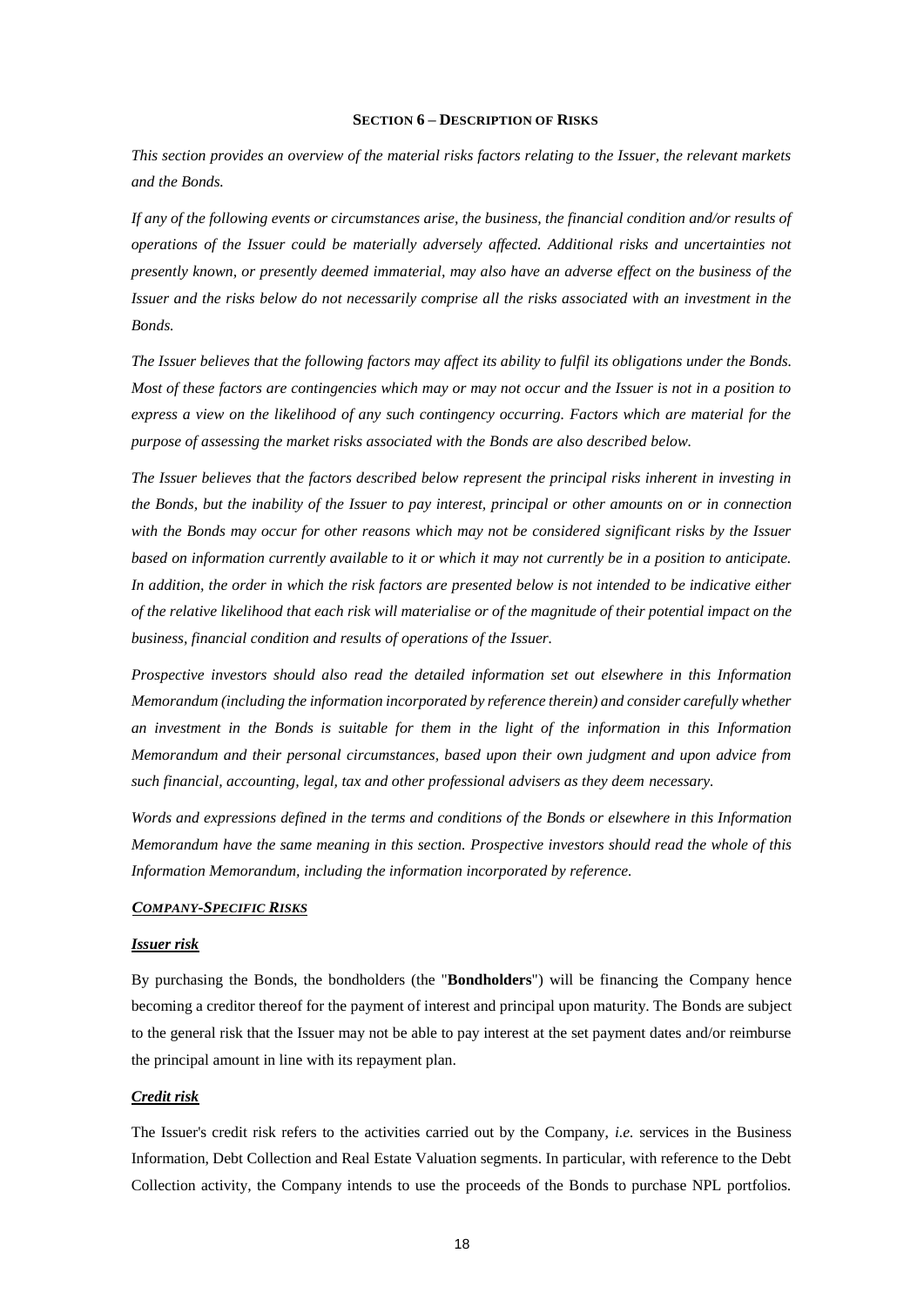#### **SECTION 6 – DESCRIPTION OF RISKS**

*This section provides an overview of the material risks factors relating to the Issuer, the relevant markets and the Bonds.*

*If any of the following events or circumstances arise, the business, the financial condition and/or results of operations of the Issuer could be materially adversely affected. Additional risks and uncertainties not presently known, or presently deemed immaterial, may also have an adverse effect on the business of the Issuer and the risks below do not necessarily comprise all the risks associated with an investment in the Bonds.*

*The Issuer believes that the following factors may affect its ability to fulfil its obligations under the Bonds. Most of these factors are contingencies which may or may not occur and the Issuer is not in a position to express a view on the likelihood of any such contingency occurring. Factors which are material for the purpose of assessing the market risks associated with the Bonds are also described below.*

*The Issuer believes that the factors described below represent the principal risks inherent in investing in the Bonds, but the inability of the Issuer to pay interest, principal or other amounts on or in connection with the Bonds may occur for other reasons which may not be considered significant risks by the Issuer based on information currently available to it or which it may not currently be in a position to anticipate. In addition, the order in which the risk factors are presented below is not intended to be indicative either of the relative likelihood that each risk will materialise or of the magnitude of their potential impact on the business, financial condition and results of operations of the Issuer.*

*Prospective investors should also read the detailed information set out elsewhere in this Information Memorandum (including the information incorporated by reference therein) and consider carefully whether an investment in the Bonds is suitable for them in the light of the information in this Information Memorandum and their personal circumstances, based upon their own judgment and upon advice from such financial, accounting, legal, tax and other professional advisers as they deem necessary.*

*Words and expressions defined in the terms and conditions of the Bonds or elsewhere in this Information Memorandum have the same meaning in this section. Prospective investors should read the whole of this Information Memorandum, including the information incorporated by reference.*

### *COMPANY-SPECIFIC RISKS*

#### *Issuer risk*

By purchasing the Bonds, the bondholders (the "**Bondholders**") will be financing the Company hence becoming a creditor thereof for the payment of interest and principal upon maturity. The Bonds are subject to the general risk that the Issuer may not be able to pay interest at the set payment dates and/or reimburse the principal amount in line with its repayment plan.

### *Credit risk*

The Issuer's credit risk refers to the activities carried out by the Company, *i.e.* services in the Business Information, Debt Collection and Real Estate Valuation segments. In particular, with reference to the Debt Collection activity, the Company intends to use the proceeds of the Bonds to purchase NPL portfolios.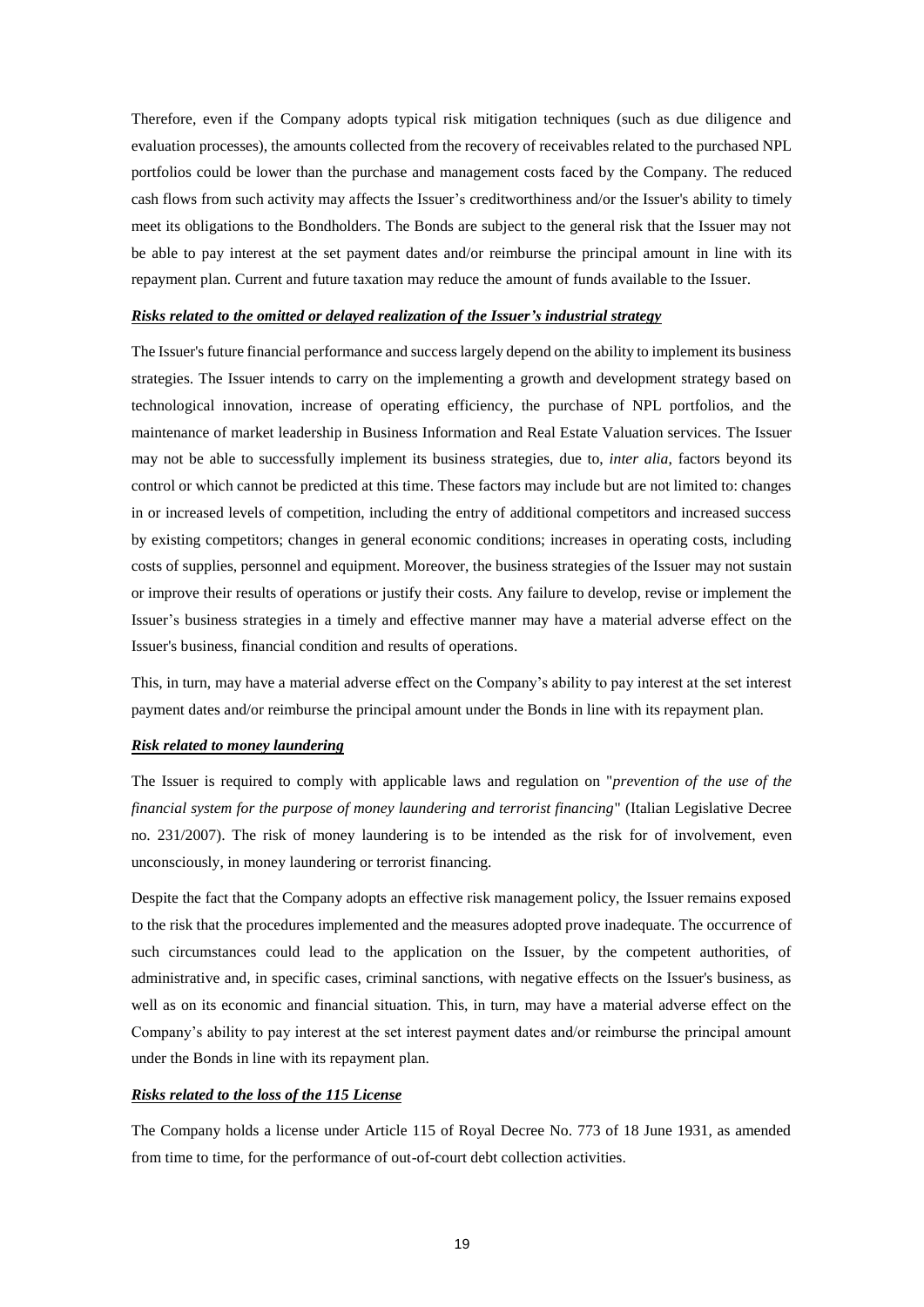Therefore, even if the Company adopts typical risk mitigation techniques (such as due diligence and evaluation processes), the amounts collected from the recovery of receivables related to the purchased NPL portfolios could be lower than the purchase and management costs faced by the Company. The reduced cash flows from such activity may affects the Issuer's creditworthiness and/or the Issuer's ability to timely meet its obligations to the Bondholders. The Bonds are subject to the general risk that the Issuer may not be able to pay interest at the set payment dates and/or reimburse the principal amount in line with its repayment plan. Current and future taxation may reduce the amount of funds available to the Issuer.

### *Risks related to the omitted or delayed realization of the Issuer's industrial strategy*

The Issuer's future financial performance and success largely depend on the ability to implement its business strategies. The Issuer intends to carry on the implementing a growth and development strategy based on technological innovation, increase of operating efficiency, the purchase of NPL portfolios, and the maintenance of market leadership in Business Information and Real Estate Valuation services. The Issuer may not be able to successfully implement its business strategies, due to, *inter alia*, factors beyond its control or which cannot be predicted at this time. These factors may include but are not limited to: changes in or increased levels of competition, including the entry of additional competitors and increased success by existing competitors; changes in general economic conditions; increases in operating costs, including costs of supplies, personnel and equipment. Moreover, the business strategies of the Issuer may not sustain or improve their results of operations or justify their costs. Any failure to develop, revise or implement the Issuer's business strategies in a timely and effective manner may have a material adverse effect on the Issuer's business, financial condition and results of operations.

This, in turn, may have a material adverse effect on the Company's ability to pay interest at the set interest payment dates and/or reimburse the principal amount under the Bonds in line with its repayment plan.

### *Risk related to money laundering*

The Issuer is required to comply with applicable laws and regulation on "*prevention of the use of the financial system for the purpose of money laundering and terrorist financing*" (Italian Legislative Decree no. 231/2007). The risk of money laundering is to be intended as the risk for of involvement, even unconsciously, in money laundering or terrorist financing.

Despite the fact that the Company adopts an effective risk management policy, the Issuer remains exposed to the risk that the procedures implemented and the measures adopted prove inadequate. The occurrence of such circumstances could lead to the application on the Issuer, by the competent authorities, of administrative and, in specific cases, criminal sanctions, with negative effects on the Issuer's business, as well as on its economic and financial situation. This, in turn, may have a material adverse effect on the Company's ability to pay interest at the set interest payment dates and/or reimburse the principal amount under the Bonds in line with its repayment plan.

### *Risks related to the loss of the 115 License*

The Company holds a license under Article 115 of Royal Decree No. 773 of 18 June 1931, as amended from time to time, for the performance of out-of-court debt collection activities.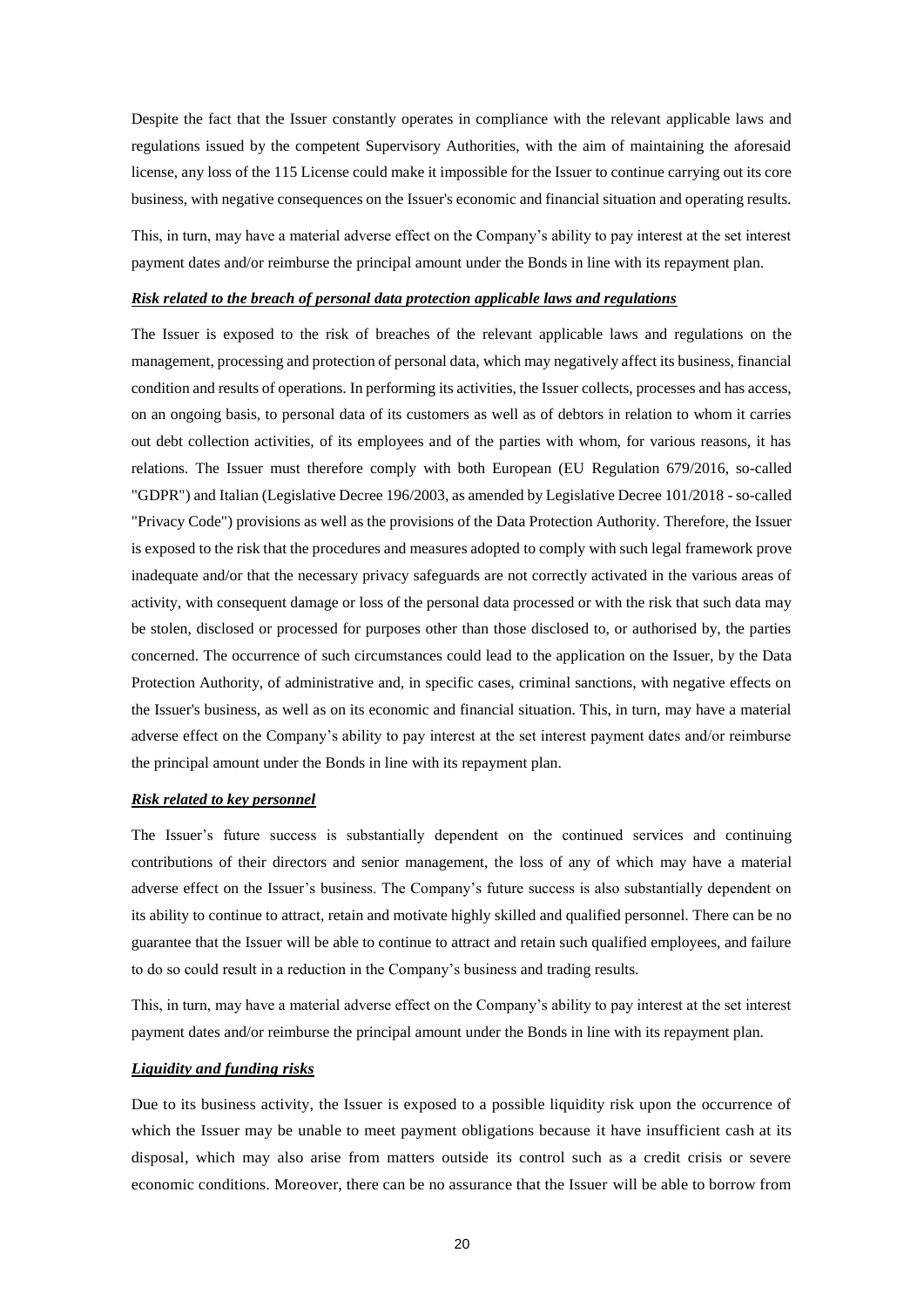Despite the fact that the Issuer constantly operates in compliance with the relevant applicable laws and regulations issued by the competent Supervisory Authorities, with the aim of maintaining the aforesaid license, any loss of the 115 License could make it impossible for the Issuer to continue carrying out its core business, with negative consequences on the Issuer's economic and financial situation and operating results.

This, in turn, may have a material adverse effect on the Company's ability to pay interest at the set interest payment dates and/or reimburse the principal amount under the Bonds in line with its repayment plan.

### *Risk related to the breach of personal data protection applicable laws and regulations*

The Issuer is exposed to the risk of breaches of the relevant applicable laws and regulations on the management, processing and protection of personal data, which may negatively affect its business, financial condition and results of operations. In performing its activities, the Issuer collects, processes and has access, on an ongoing basis, to personal data of its customers as well as of debtors in relation to whom it carries out debt collection activities, of its employees and of the parties with whom, for various reasons, it has relations. The Issuer must therefore comply with both European (EU Regulation 679/2016, so-called "GDPR") and Italian (Legislative Decree 196/2003, as amended by Legislative Decree 101/2018 - so-called "Privacy Code") provisions as well as the provisions of the Data Protection Authority. Therefore, the Issuer is exposed to the risk that the procedures and measures adopted to comply with such legal framework prove inadequate and/or that the necessary privacy safeguards are not correctly activated in the various areas of activity, with consequent damage or loss of the personal data processed or with the risk that such data may be stolen, disclosed or processed for purposes other than those disclosed to, or authorised by, the parties concerned. The occurrence of such circumstances could lead to the application on the Issuer, by the Data Protection Authority, of administrative and, in specific cases, criminal sanctions, with negative effects on the Issuer's business, as well as on its economic and financial situation. This, in turn, may have a material adverse effect on the Company's ability to pay interest at the set interest payment dates and/or reimburse the principal amount under the Bonds in line with its repayment plan.

### *Risk related to key personnel*

The Issuer's future success is substantially dependent on the continued services and continuing contributions of their directors and senior management, the loss of any of which may have a material adverse effect on the Issuer's business. The Company's future success is also substantially dependent on its ability to continue to attract, retain and motivate highly skilled and qualified personnel. There can be no guarantee that the Issuer will be able to continue to attract and retain such qualified employees, and failure to do so could result in a reduction in the Company's business and trading results.

This, in turn, may have a material adverse effect on the Company's ability to pay interest at the set interest payment dates and/or reimburse the principal amount under the Bonds in line with its repayment plan.

#### *Liquidity and funding risks*

Due to its business activity, the Issuer is exposed to a possible liquidity risk upon the occurrence of which the Issuer may be unable to meet payment obligations because it have insufficient cash at its disposal, which may also arise from matters outside its control such as a credit crisis or severe economic conditions. Moreover, there can be no assurance that the Issuer will be able to borrow from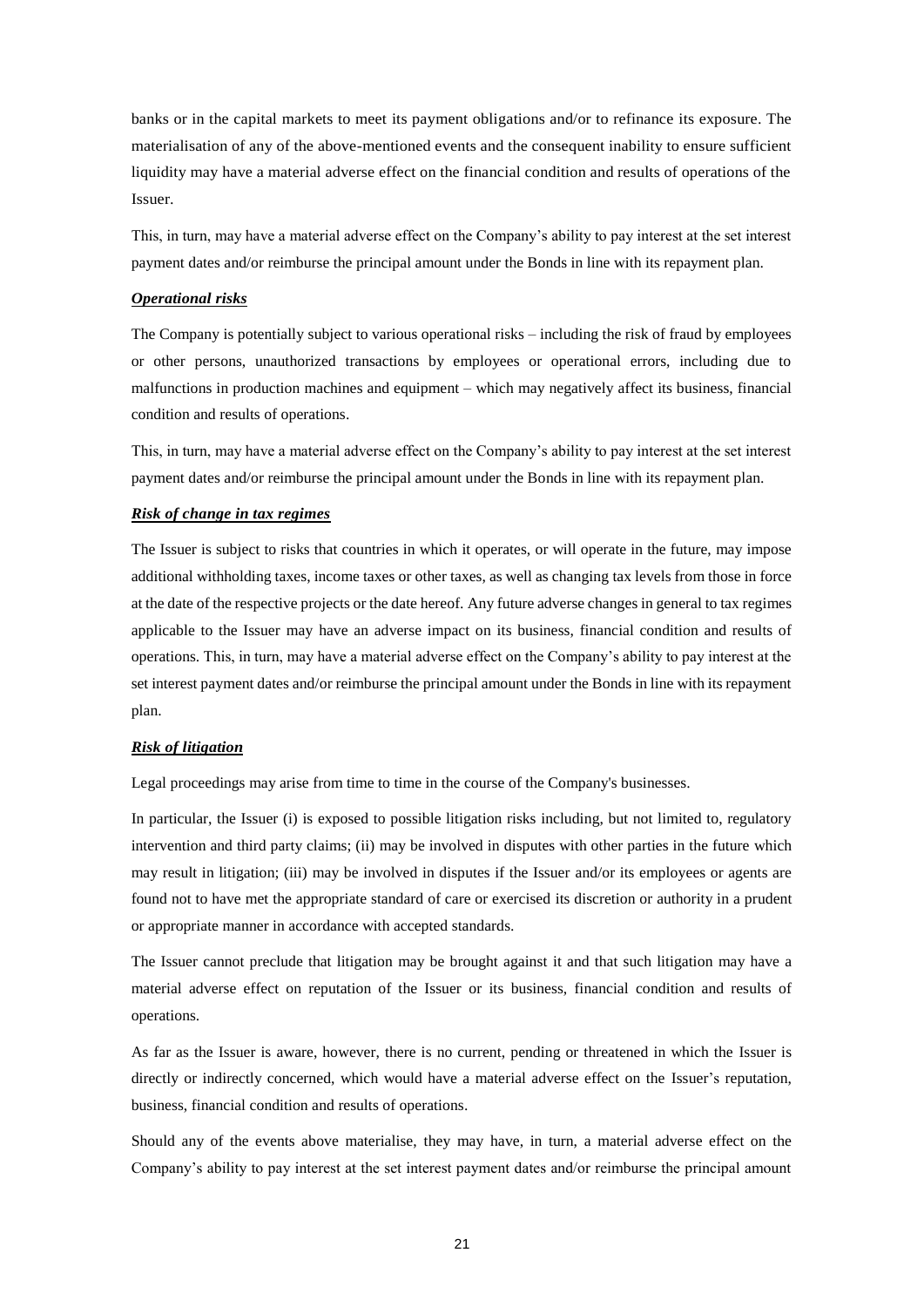banks or in the capital markets to meet its payment obligations and/or to refinance its exposure. The materialisation of any of the above-mentioned events and the consequent inability to ensure sufficient liquidity may have a material adverse effect on the financial condition and results of operations of the Issuer.

This, in turn, may have a material adverse effect on the Company's ability to pay interest at the set interest payment dates and/or reimburse the principal amount under the Bonds in line with its repayment plan.

#### *Operational risks*

The Company is potentially subject to various operational risks – including the risk of fraud by employees or other persons, unauthorized transactions by employees or operational errors, including due to malfunctions in production machines and equipment – which may negatively affect its business, financial condition and results of operations.

This, in turn, may have a material adverse effect on the Company's ability to pay interest at the set interest payment dates and/or reimburse the principal amount under the Bonds in line with its repayment plan.

#### *Risk of change in tax regimes*

The Issuer is subject to risks that countries in which it operates, or will operate in the future, may impose additional withholding taxes, income taxes or other taxes, as well as changing tax levels from those in force at the date of the respective projects or the date hereof. Any future adverse changes in general to tax regimes applicable to the Issuer may have an adverse impact on its business, financial condition and results of operations. This, in turn, may have a material adverse effect on the Company's ability to pay interest at the set interest payment dates and/or reimburse the principal amount under the Bonds in line with its repayment plan.

### *Risk of litigation*

Legal proceedings may arise from time to time in the course of the Company's businesses.

In particular, the Issuer (i) is exposed to possible litigation risks including, but not limited to, regulatory intervention and third party claims; (ii) may be involved in disputes with other parties in the future which may result in litigation; (iii) may be involved in disputes if the Issuer and/or its employees or agents are found not to have met the appropriate standard of care or exercised its discretion or authority in a prudent or appropriate manner in accordance with accepted standards.

The Issuer cannot preclude that litigation may be brought against it and that such litigation may have a material adverse effect on reputation of the Issuer or its business, financial condition and results of operations.

As far as the Issuer is aware, however, there is no current, pending or threatened in which the Issuer is directly or indirectly concerned, which would have a material adverse effect on the Issuer's reputation, business, financial condition and results of operations.

Should any of the events above materialise, they may have, in turn, a material adverse effect on the Company's ability to pay interest at the set interest payment dates and/or reimburse the principal amount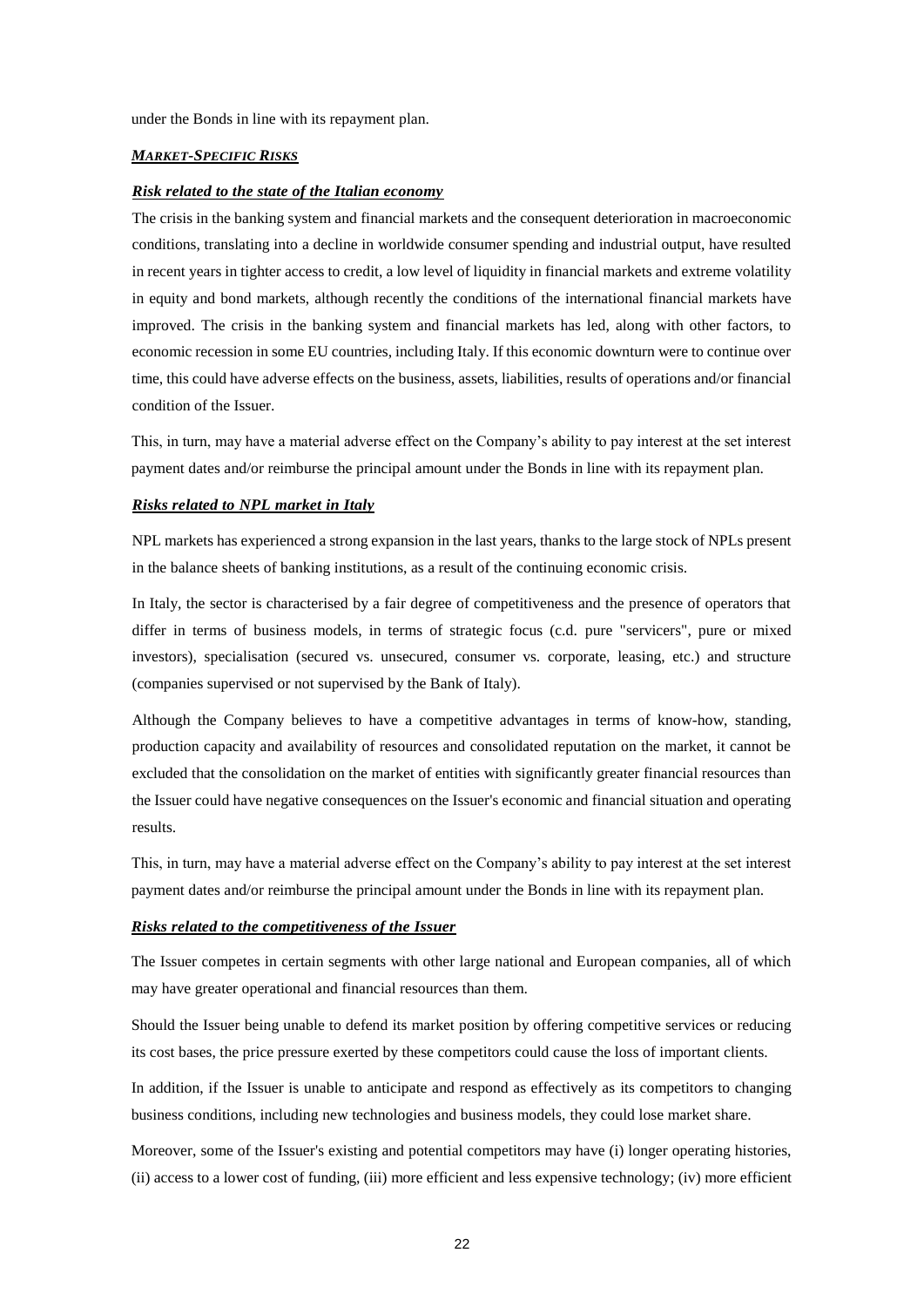under the Bonds in line with its repayment plan.

#### *MARKET-SPECIFIC RISKS*

#### *Risk related to the state of the Italian economy*

The crisis in the banking system and financial markets and the consequent deterioration in macroeconomic conditions, translating into a decline in worldwide consumer spending and industrial output, have resulted in recent years in tighter access to credit, a low level of liquidity in financial markets and extreme volatility in equity and bond markets, although recently the conditions of the international financial markets have improved. The crisis in the banking system and financial markets has led, along with other factors, to economic recession in some EU countries, including Italy. If this economic downturn were to continue over time, this could have adverse effects on the business, assets, liabilities, results of operations and/or financial condition of the Issuer.

This, in turn, may have a material adverse effect on the Company's ability to pay interest at the set interest payment dates and/or reimburse the principal amount under the Bonds in line with its repayment plan.

### *Risks related to NPL market in Italy*

NPL markets has experienced a strong expansion in the last years, thanks to the large stock of NPLs present in the balance sheets of banking institutions, as a result of the continuing economic crisis.

In Italy, the sector is characterised by a fair degree of competitiveness and the presence of operators that differ in terms of business models, in terms of strategic focus (c.d. pure "servicers", pure or mixed investors), specialisation (secured vs. unsecured, consumer vs. corporate, leasing, etc.) and structure (companies supervised or not supervised by the Bank of Italy).

Although the Company believes to have a competitive advantages in terms of know-how, standing, production capacity and availability of resources and consolidated reputation on the market, it cannot be excluded that the consolidation on the market of entities with significantly greater financial resources than the Issuer could have negative consequences on the Issuer's economic and financial situation and operating results.

This, in turn, may have a material adverse effect on the Company's ability to pay interest at the set interest payment dates and/or reimburse the principal amount under the Bonds in line with its repayment plan.

#### *Risks related to the competitiveness of the Issuer*

The Issuer competes in certain segments with other large national and European companies, all of which may have greater operational and financial resources than them.

Should the Issuer being unable to defend its market position by offering competitive services or reducing its cost bases, the price pressure exerted by these competitors could cause the loss of important clients.

In addition, if the Issuer is unable to anticipate and respond as effectively as its competitors to changing business conditions, including new technologies and business models, they could lose market share.

Moreover, some of the Issuer's existing and potential competitors may have (i) longer operating histories, (ii) access to a lower cost of funding, (iii) more efficient and less expensive technology; (iv) more efficient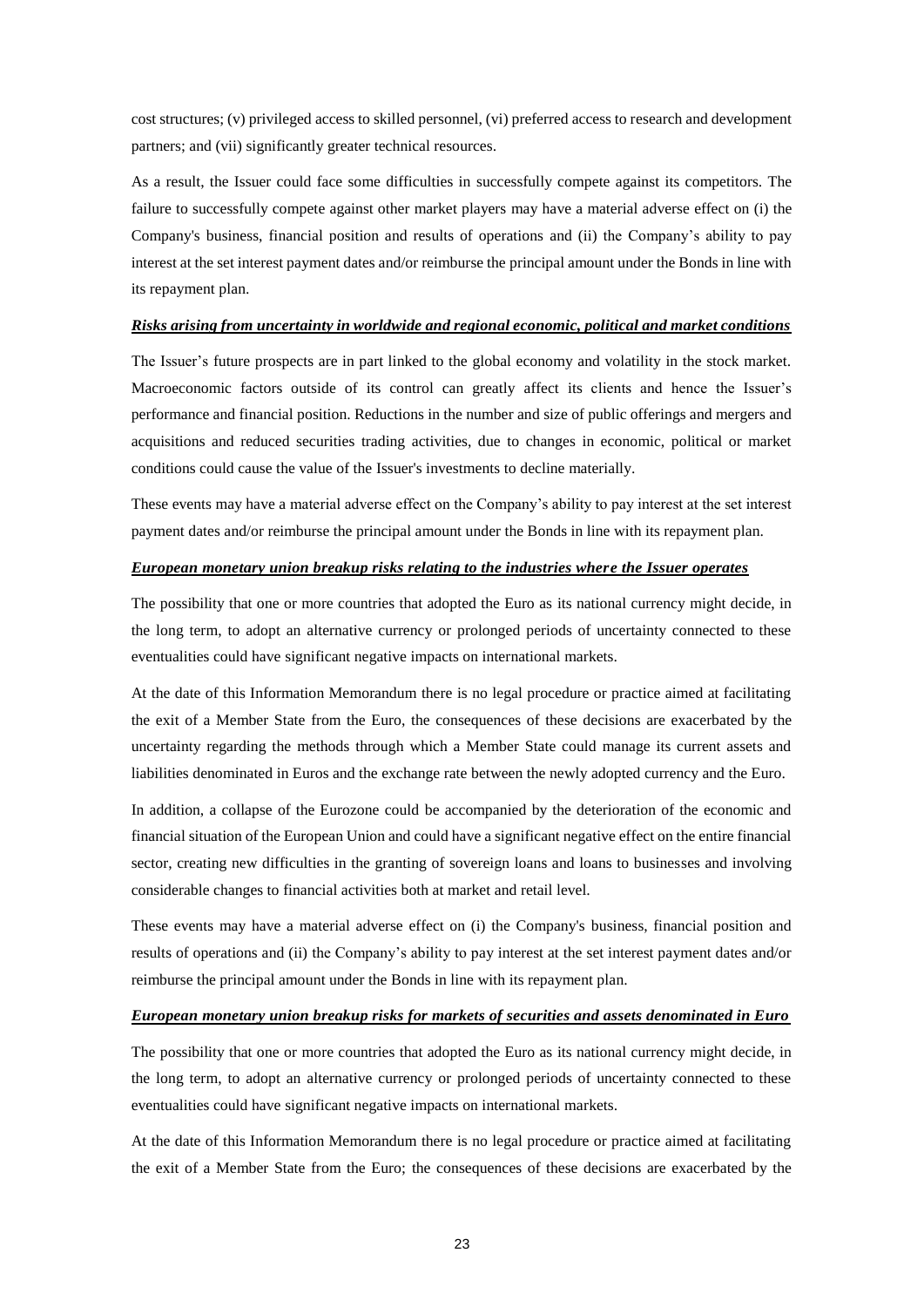cost structures; (v) privileged access to skilled personnel, (vi) preferred access to research and development partners; and (vii) significantly greater technical resources.

As a result, the Issuer could face some difficulties in successfully compete against its competitors. The failure to successfully compete against other market players may have a material adverse effect on (i) the Company's business, financial position and results of operations and (ii) the Company's ability to pay interest at the set interest payment dates and/or reimburse the principal amount under the Bonds in line with its repayment plan.

#### *Risks arising from uncertainty in worldwide and regional economic, political and market conditions*

The Issuer's future prospects are in part linked to the global economy and volatility in the stock market. Macroeconomic factors outside of its control can greatly affect its clients and hence the Issuer's performance and financial position. Reductions in the number and size of public offerings and mergers and acquisitions and reduced securities trading activities, due to changes in economic, political or market conditions could cause the value of the Issuer's investments to decline materially.

These events may have a material adverse effect on the Company's ability to pay interest at the set interest payment dates and/or reimburse the principal amount under the Bonds in line with its repayment plan.

### *European monetary union breakup risks relating to the industries where the Issuer operates*

The possibility that one or more countries that adopted the Euro as its national currency might decide, in the long term, to adopt an alternative currency or prolonged periods of uncertainty connected to these eventualities could have significant negative impacts on international markets.

At the date of this Information Memorandum there is no legal procedure or practice aimed at facilitating the exit of a Member State from the Euro, the consequences of these decisions are exacerbated by the uncertainty regarding the methods through which a Member State could manage its current assets and liabilities denominated in Euros and the exchange rate between the newly adopted currency and the Euro.

In addition, a collapse of the Eurozone could be accompanied by the deterioration of the economic and financial situation of the European Union and could have a significant negative effect on the entire financial sector, creating new difficulties in the granting of sovereign loans and loans to businesses and involving considerable changes to financial activities both at market and retail level.

These events may have a material adverse effect on (i) the Company's business, financial position and results of operations and (ii) the Company's ability to pay interest at the set interest payment dates and/or reimburse the principal amount under the Bonds in line with its repayment plan.

#### *European monetary union breakup risks for markets of securities and assets denominated in Euro*

The possibility that one or more countries that adopted the Euro as its national currency might decide, in the long term, to adopt an alternative currency or prolonged periods of uncertainty connected to these eventualities could have significant negative impacts on international markets.

At the date of this Information Memorandum there is no legal procedure or practice aimed at facilitating the exit of a Member State from the Euro; the consequences of these decisions are exacerbated by the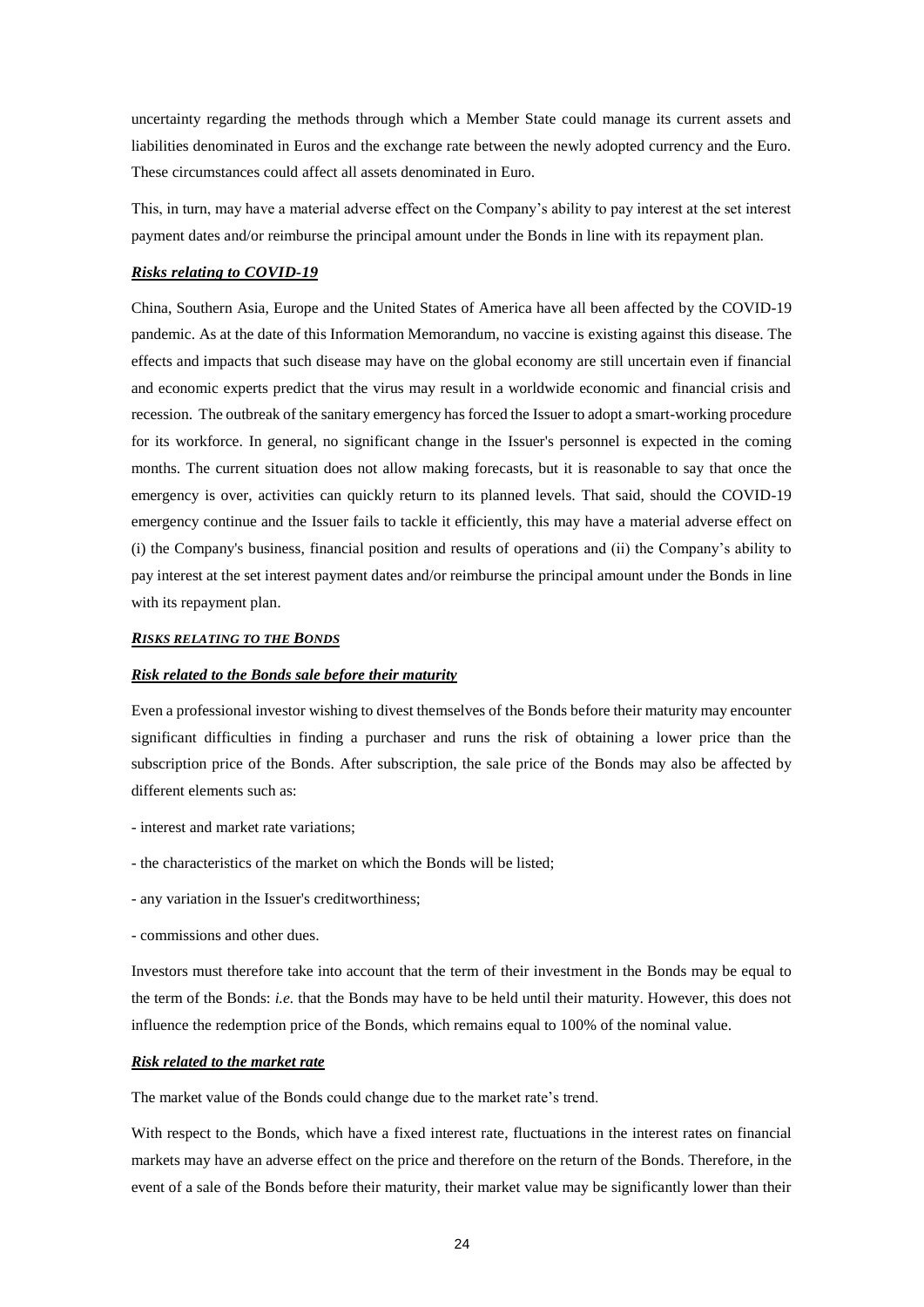uncertainty regarding the methods through which a Member State could manage its current assets and liabilities denominated in Euros and the exchange rate between the newly adopted currency and the Euro. These circumstances could affect all assets denominated in Euro.

This, in turn, may have a material adverse effect on the Company's ability to pay interest at the set interest payment dates and/or reimburse the principal amount under the Bonds in line with its repayment plan.

#### *Risks relating to COVID-19*

China, Southern Asia, Europe and the United States of America have all been affected by the COVID-19 pandemic. As at the date of this Information Memorandum, no vaccine is existing against this disease. The effects and impacts that such disease may have on the global economy are still uncertain even if financial and economic experts predict that the virus may result in a worldwide economic and financial crisis and recession. The outbreak of the sanitary emergency has forced the Issuer to adopt a smart-working procedure for its workforce. In general, no significant change in the Issuer's personnel is expected in the coming months. The current situation does not allow making forecasts, but it is reasonable to say that once the emergency is over, activities can quickly return to its planned levels. That said, should the COVID-19 emergency continue and the Issuer fails to tackle it efficiently, this may have a material adverse effect on (i) the Company's business, financial position and results of operations and (ii) the Company's ability to pay interest at the set interest payment dates and/or reimburse the principal amount under the Bonds in line with its repayment plan.

#### *RISKS RELATING TO THE BONDS*

#### *Risk related to the Bonds sale before their maturity*

Even a professional investor wishing to divest themselves of the Bonds before their maturity may encounter significant difficulties in finding a purchaser and runs the risk of obtaining a lower price than the subscription price of the Bonds. After subscription, the sale price of the Bonds may also be affected by different elements such as:

- interest and market rate variations;
- the characteristics of the market on which the Bonds will be listed;
- any variation in the Issuer's creditworthiness;
- commissions and other dues.

Investors must therefore take into account that the term of their investment in the Bonds may be equal to the term of the Bonds: *i.e.* that the Bonds may have to be held until their maturity. However, this does not influence the redemption price of the Bonds, which remains equal to 100% of the nominal value.

### *Risk related to the market rate*

The market value of the Bonds could change due to the market rate's trend.

With respect to the Bonds, which have a fixed interest rate, fluctuations in the interest rates on financial markets may have an adverse effect on the price and therefore on the return of the Bonds. Therefore, in the event of a sale of the Bonds before their maturity, their market value may be significantly lower than their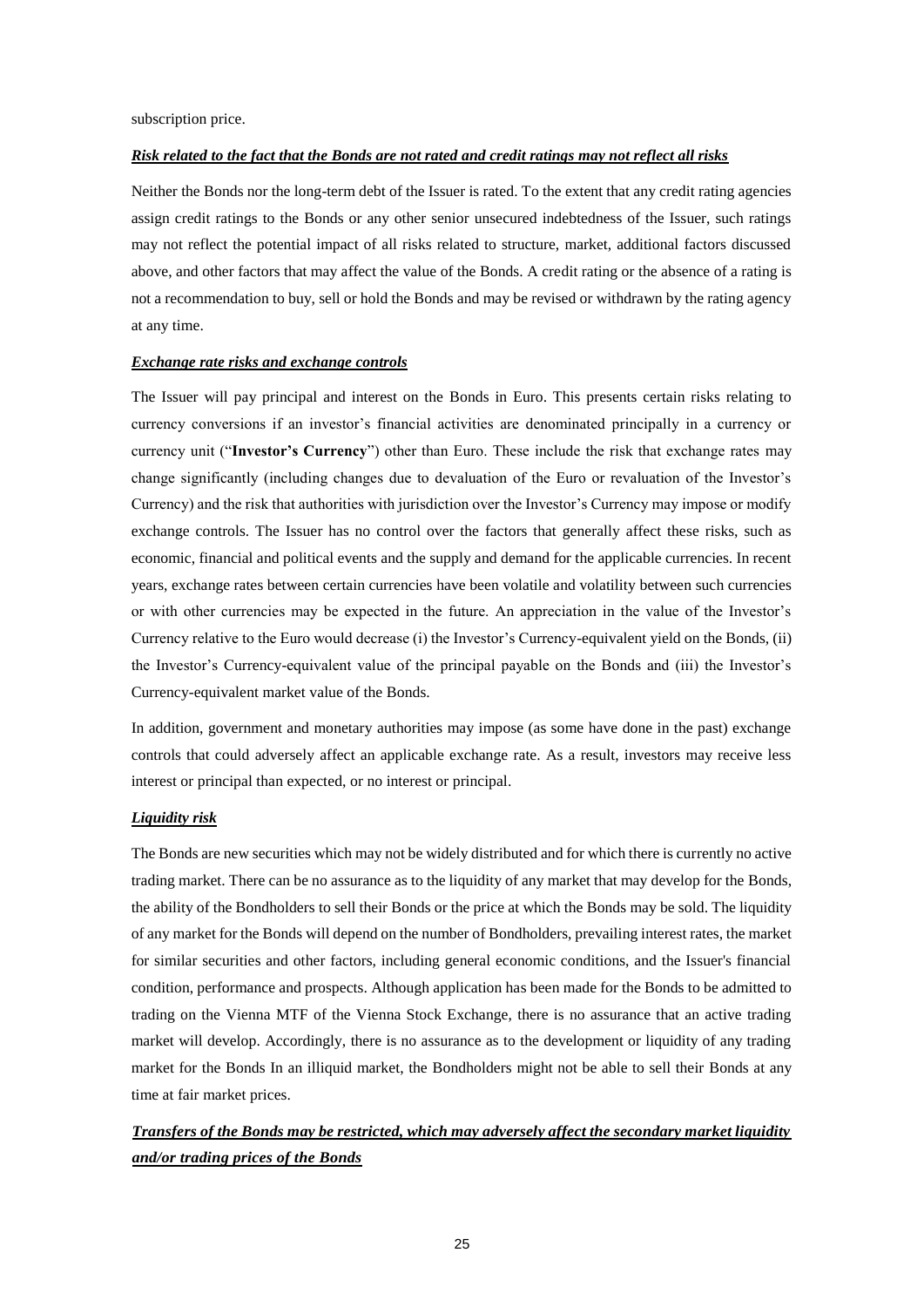subscription price.

### *Risk related to the fact that the Bonds are not rated and credit ratings may not reflect all risks*

Neither the Bonds nor the long-term debt of the Issuer is rated. To the extent that any credit rating agencies assign credit ratings to the Bonds or any other senior unsecured indebtedness of the Issuer, such ratings may not reflect the potential impact of all risks related to structure, market, additional factors discussed above, and other factors that may affect the value of the Bonds. A credit rating or the absence of a rating is not a recommendation to buy, sell or hold the Bonds and may be revised or withdrawn by the rating agency at any time.

#### *Exchange rate risks and exchange controls*

The Issuer will pay principal and interest on the Bonds in Euro. This presents certain risks relating to currency conversions if an investor's financial activities are denominated principally in a currency or currency unit ("**Investor's Currency**") other than Euro. These include the risk that exchange rates may change significantly (including changes due to devaluation of the Euro or revaluation of the Investor's Currency) and the risk that authorities with jurisdiction over the Investor's Currency may impose or modify exchange controls. The Issuer has no control over the factors that generally affect these risks, such as economic, financial and political events and the supply and demand for the applicable currencies. In recent years, exchange rates between certain currencies have been volatile and volatility between such currencies or with other currencies may be expected in the future. An appreciation in the value of the Investor's Currency relative to the Euro would decrease (i) the Investor's Currency-equivalent yield on the Bonds, (ii) the Investor's Currency-equivalent value of the principal payable on the Bonds and (iii) the Investor's Currency-equivalent market value of the Bonds.

In addition, government and monetary authorities may impose (as some have done in the past) exchange controls that could adversely affect an applicable exchange rate. As a result, investors may receive less interest or principal than expected, or no interest or principal.

### *Liquidity risk*

The Bonds are new securities which may not be widely distributed and for which there is currently no active trading market. There can be no assurance as to the liquidity of any market that may develop for the Bonds, the ability of the Bondholders to sell their Bonds or the price at which the Bonds may be sold. The liquidity of any market for the Bonds will depend on the number of Bondholders, prevailing interest rates, the market for similar securities and other factors, including general economic conditions, and the Issuer's financial condition, performance and prospects. Although application has been made for the Bonds to be admitted to trading on the Vienna MTF of the Vienna Stock Exchange, there is no assurance that an active trading market will develop. Accordingly, there is no assurance as to the development or liquidity of any trading market for the Bonds In an illiquid market, the Bondholders might not be able to sell their Bonds at any time at fair market prices.

# *Transfers of the Bonds may be restricted, which may adversely affect the secondary market liquidity and/or trading prices of the Bonds*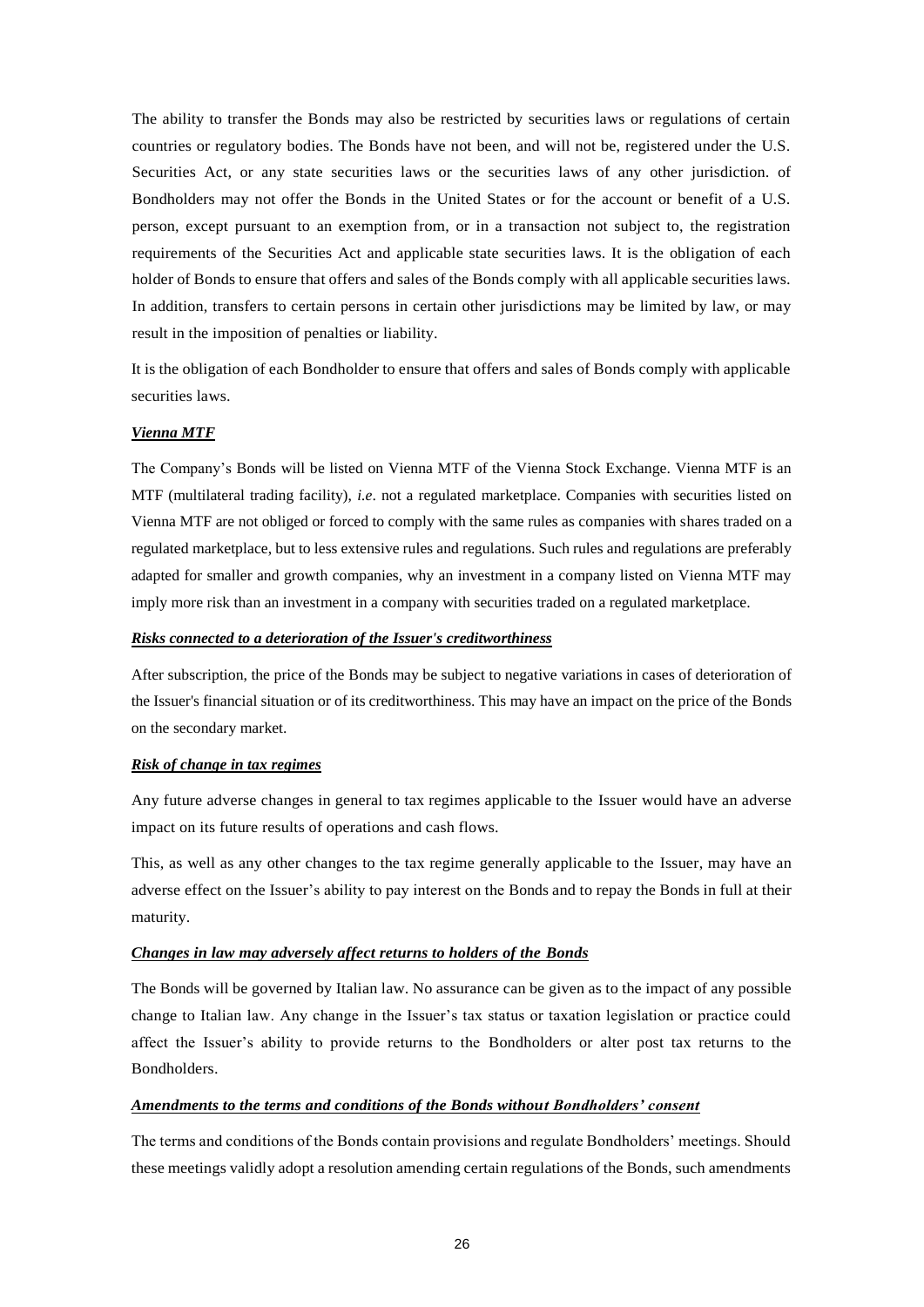The ability to transfer the Bonds may also be restricted by securities laws or regulations of certain countries or regulatory bodies. The Bonds have not been, and will not be, registered under the U.S. Securities Act, or any state securities laws or the securities laws of any other jurisdiction. of Bondholders may not offer the Bonds in the United States or for the account or benefit of a U.S. person, except pursuant to an exemption from, or in a transaction not subject to, the registration requirements of the Securities Act and applicable state securities laws. It is the obligation of each holder of Bonds to ensure that offers and sales of the Bonds comply with all applicable securities laws. In addition, transfers to certain persons in certain other jurisdictions may be limited by law, or may result in the imposition of penalties or liability.

It is the obligation of each Bondholder to ensure that offers and sales of Bonds comply with applicable securities laws.

### *Vienna MTF*

The Company's Bonds will be listed on Vienna MTF of the Vienna Stock Exchange. Vienna MTF is an MTF (multilateral trading facility), *i.e*. not a regulated marketplace. Companies with securities listed on Vienna MTF are not obliged or forced to comply with the same rules as companies with shares traded on a regulated marketplace, but to less extensive rules and regulations. Such rules and regulations are preferably adapted for smaller and growth companies, why an investment in a company listed on Vienna MTF may imply more risk than an investment in a company with securities traded on a regulated marketplace.

### *Risks connected to a deterioration of the Issuer's creditworthiness*

After subscription, the price of the Bonds may be subject to negative variations in cases of deterioration of the Issuer's financial situation or of its creditworthiness. This may have an impact on the price of the Bonds on the secondary market.

### *Risk of change in tax regimes*

Any future adverse changes in general to tax regimes applicable to the Issuer would have an adverse impact on its future results of operations and cash flows.

This, as well as any other changes to the tax regime generally applicable to the Issuer, may have an adverse effect on the Issuer's ability to pay interest on the Bonds and to repay the Bonds in full at their maturity.

#### *Changes in law may adversely affect returns to holders of the Bonds*

The Bonds will be governed by Italian law. No assurance can be given as to the impact of any possible change to Italian law. Any change in the Issuer's tax status or taxation legislation or practice could affect the Issuer's ability to provide returns to the Bondholders or alter post tax returns to the Bondholders.

### *Amendments to the terms and conditions of the Bonds without Bondholders' consent*

The terms and conditions of the Bonds contain provisions and regulate Bondholders' meetings. Should these meetings validly adopt a resolution amending certain regulations of the Bonds, such amendments